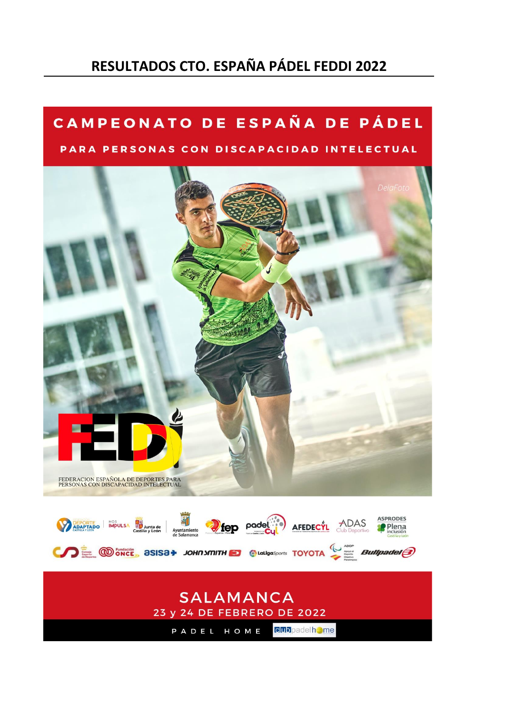# **RESULTADOS CTO. ESPAÑA PÁDEL FEDDI 2022**

# CAMPEONATO DE ESPAÑA DE PÁDEL

# PARA PERSONAS CON DISCAPACIDAD INTELECTUAL



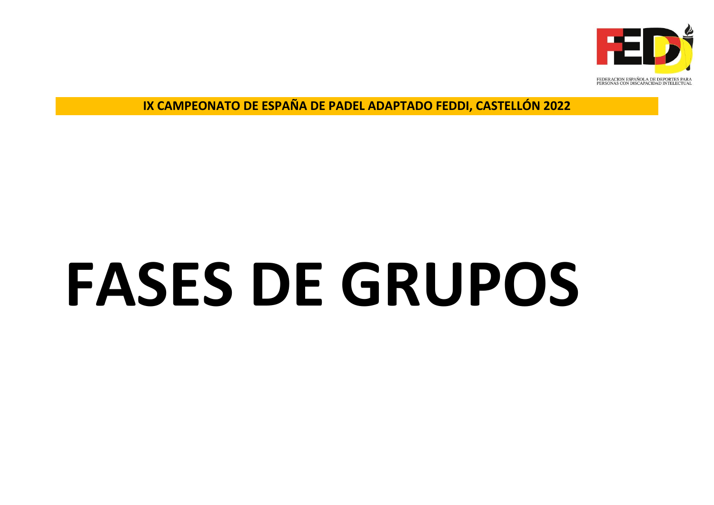

**IX CAMPEONATO DE ESPAÑA DE PADEL ADAPTADO FEDDI, CASTELLÓN 2022**

# **FASES DE GRUPOS**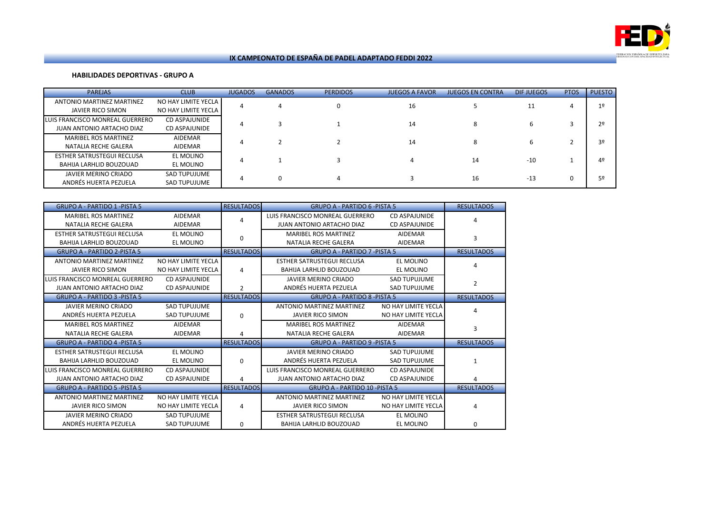

# **HABILIDADES DEPORTIVAS - GRUPO A**

| <b>PAREJAS</b>                                               | <b>CLUB</b>                                | <b>JUGADOS</b> | <b>GANADOS</b> | <b>PERDIDOS</b> | <b>JUEGOS A FAVOR</b> | <b>JUEGOS EN CONTRA</b> | DIF JUEGOS | <b>PTOS</b> | <b>PUESTO</b>  |
|--------------------------------------------------------------|--------------------------------------------|----------------|----------------|-----------------|-----------------------|-------------------------|------------|-------------|----------------|
| <b>ANTONIO MARTINEZ MARTINEZ</b><br>JAVIER RICO SIMON        | NO HAY LIMITE YECLA<br>NO HAY LIMITE YECLA |                |                | 0               | 16                    |                         |            |             | 1 <sup>°</sup> |
| LUIS FRANCISCO MONREAL GUERRERO<br>JUAN ANTONIO ARTACHO DIAZ | <b>CD ASPAJUNIDE</b><br>CD ASPAJUNIDE      |                |                |                 | 14                    |                         |            |             | 2 <sup>°</sup> |
| <b>MARIBEL ROS MARTINEZ</b><br>NATALIA RECHE GALERA          | AIDEMAR<br>AIDEMAR                         |                |                |                 | 14                    |                         |            |             | 3º             |
| ESTHER SATRUSTEGUI RECLUSA<br>BAHIJA LARHLID BOUZOUAD        | EL MOLINO<br>EL MOLINO                     |                |                |                 |                       | 14                      | $-10$      |             | 4º             |
| JAVIER MERINO CRIADO<br>ANDRÉS HUERTA PEZUELA                | SAD TUPUJUME<br><b>SAD TUPUJUME</b>        |                |                |                 |                       | 16                      | $-13$      |             | 5º             |

| <b>GRUPO A - PARTIDO 1 - PISTA 5</b> |                      | <b>RESULTADOS</b> | <b>GRUPO A - PARTIDO 6 -PISTA 5</b>  |                      | <b>RESULTADOS</b> |
|--------------------------------------|----------------------|-------------------|--------------------------------------|----------------------|-------------------|
| <b>MARIBEL ROS MARTINEZ</b>          | <b>AIDEMAR</b>       | 4                 | LUIS FRANCISCO MONREAL GUERRERO      | <b>CD ASPAJUNIDE</b> | Δ                 |
| NATALIA RECHE GALERA                 | <b>AIDEMAR</b>       |                   | JUAN ANTONIO ARTACHO DIAZ            | <b>CD ASPAJUNIDE</b> |                   |
| <b>ESTHER SATRUSTEGUI RECLUSA</b>    | EL MOLINO            | 0                 | <b>MARIBEL ROS MARTINEZ</b>          | <b>AIDEMAR</b>       | 3                 |
| BAHIJA LARHLID BOUZOUAD              | EL MOLINO            |                   | NATALIA RECHE GALERA                 | <b>AIDEMAR</b>       |                   |
| <b>GRUPO A - PARTIDO 2-PISTA 5</b>   |                      | <b>RESULTADOS</b> | <b>GRUPO A - PARTIDO 7 - PISTA 5</b> |                      | <b>RESULTADOS</b> |
| <b>ANTONIO MARTINEZ MARTINEZ</b>     | NO HAY LIMITE YECLA  |                   | <b>ESTHER SATRUSTEGUI RECLUSA</b>    | EL MOLINO            |                   |
| <b>JAVIER RICO SIMON</b>             | NO HAY LIMITE YECLA  | 4                 | BAHIJA LARHLID BOUZOUAD              | <b>EL MOLINO</b>     |                   |
| LUIS FRANCISCO MONREAL GUERRERO      | <b>CD ASPAJUNIDE</b> |                   | <b>JAVIER MERINO CRIADO</b>          | <b>SAD TUPUJUME</b>  | 2                 |
| <b>JUAN ANTONIO ARTACHO DIAZ</b>     | <b>CD ASPAJUNIDE</b> | $\overline{2}$    | ANDRÉS HUERTA PEZUELA                | <b>SAD TUPUJUME</b>  |                   |
| <b>GRUPO A - PARTIDO 3 -PISTA 5</b>  |                      | <b>RESULTADOS</b> | <b>GRUPO A - PARTIDO 8 -PISTA 5</b>  |                      | <b>RESULTADOS</b> |
| <b>JAVIER MERINO CRIADO</b>          | <b>SAD TUPUJUME</b>  |                   | ANTONIO MARTINEZ MARTINEZ            | NO HAY LIMITE YECLA  |                   |
| ANDRÉS HUERTA PEZUELA                | <b>SAD TUPUJUME</b>  | 0                 | <b>JAVIER RICO SIMON</b>             | NO HAY LIMITE YECLA  |                   |
| <b>MARIBEL ROS MARTINEZ</b>          | <b>AIDEMAR</b>       |                   | <b>MARIBEL ROS MARTINEZ</b>          | <b>AIDEMAR</b>       | 3                 |
| NATALIA RECHE GALERA                 | <b>AIDEMAR</b>       | 4                 | NATALIA RECHE GALERA                 | <b>AIDEMAR</b>       |                   |
| <b>GRUPO A - PARTIDO 4 -PISTA 5</b>  |                      | <b>RESULTADOS</b> | <b>GRUPO A - PARTIDO 9 -PISTA 5</b>  |                      | <b>RESULTADOS</b> |
| <b>ESTHER SATRUSTEGUI RECLUSA</b>    | EL MOLINO            |                   | <b>JAVIER MERINO CRIADO</b>          | <b>SAD TUPUJUME</b>  |                   |
| BAHIJA LARHLID BOUZOUAD              | EL MOLINO            | $\Omega$          | ANDRÉS HUERTA PEZUELA                | <b>SAD TUPUJUME</b>  | 1                 |
| LUIS FRANCISCO MONREAL GUERRERO      | <b>CD ASPAJUNIDE</b> |                   | LUIS FRANCISCO MONREAL GUERRERO      | <b>CD ASPAJUNIDE</b> |                   |
| <b>JUAN ANTONIO ARTACHO DIAZ</b>     | <b>CD ASPAJUNIDE</b> | 4                 | <b>JUAN ANTONIO ARTACHO DIAZ</b>     | CD ASPAJUNIDE        | 4                 |
| <b>GRUPO A - PARTIDO 5 - PISTA 5</b> |                      | <b>RESULTADOS</b> | <b>GRUPO A - PARTIDO 10 -PISTA 5</b> |                      | <b>RESULTADOS</b> |
| <b>ANTONIO MARTINEZ MARTINEZ</b>     | NO HAY LIMITE YECLA  |                   | <b>ANTONIO MARTINEZ MARTINEZ</b>     | NO HAY LIMITE YECLA  |                   |
| <b>JAVIER RICO SIMON</b>             | NO HAY LIMITE YECLA  | 4                 | JAVIER RICO SIMON                    | NO HAY LIMITE YECLA  | 4                 |
| JAVIER MERINO CRIADO                 | <b>SAD TUPUJUME</b>  |                   | <b>ESTHER SATRUSTEGUI RECLUSA</b>    | EL MOLINO            |                   |
| ANDRÉS HUERTA PEZUELA                | <b>SAD TUPUJUME</b>  | $\Omega$          | <b>BAHIJA LARHLID BOUZOUAD</b>       | EL MOLINO            | 0                 |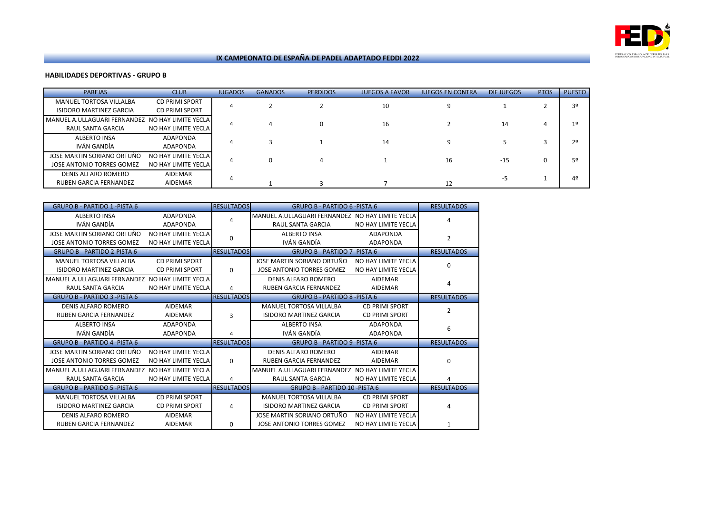

# **HABILIDADES DEPORTIVAS - GRUPO B**

| <b>PAREJAS</b>                                            | <b>CLUB</b>                                    | <b>JUGADOS</b> | <b>GANADOS</b> | <b>PERDIDOS</b> | <b>JUEGOS A FAVOR</b> | <b>JUEGOS EN CONTRA</b> | DIF JUEGOS | <b>PTOS</b> | <b>PUESTO</b>  |
|-----------------------------------------------------------|------------------------------------------------|----------------|----------------|-----------------|-----------------------|-------------------------|------------|-------------|----------------|
| MANUEL TORTOSA VILLALBA<br><b>ISIDORO MARTINEZ GARCIA</b> | <b>CD PRIMI SPORT</b><br><b>CD PRIMI SPORT</b> |                |                |                 | 10                    |                         |            |             | 3º             |
| MANUEL A.ULLAGUARI FERNANDEZ<br>RAUL SANTA GARCIA         | NO HAY LIMITE YECLA<br>NO HAY LIMITE YECLA     |                |                |                 | 16                    |                         | 14         |             | 1 <sup>°</sup> |
| ALBERTO INSA<br>IVÁN GANDÍA                               | ADAPONDA<br>ADAPONDA                           |                |                |                 | 14                    |                         |            |             | 2 <sup>o</sup> |
| JOSE MARTIN SORIANO ORTUÑO<br>JOSE ANTONIO TORRES GOMEZ   | NO HAY LIMITE YECLA<br>NO HAY LIMITE YECLA     |                |                |                 |                       | 16                      | $-15$      | $\Omega$    | 5º             |
| DENIS ALFARO ROMERO<br><b>RUBEN GARCIA FERNANDEZ</b>      | <b>AIDEMAR</b><br><b>AIDEMAR</b>               | Δ              |                |                 |                       | 12                      |            |             | 4 <sup>°</sup> |

| <b>GRUPO B - PARTIDO 1 - PISTA 6</b>             |                       | <b>RESULTADOS</b> | <b>GRUPO B - PARTIDO 6 -PISTA 6</b>              |                       | <b>RESULTADOS</b> |
|--------------------------------------------------|-----------------------|-------------------|--------------------------------------------------|-----------------------|-------------------|
| <b>ALBERTO INSA</b>                              | ADAPONDA              | 4                 | MANUEL A.ULLAGUARI FERNANDEZ NO HAY LIMITE YECLA |                       | 4                 |
| IVÁN GANDÍA                                      | ADAPONDA              |                   | RAUL SANTA GARCIA                                | NO HAY LIMITE YECLA   |                   |
| JOSE MARTIN SORIANO ORTUÑO                       | NO HAY LIMITE YECLA   | 0                 | <b>ALBERTO INSA</b>                              | ADAPONDA              | 2                 |
| <b>JOSE ANTONIO TORRES GOMEZ</b>                 | NO HAY LIMITE YECLA   |                   | IVÁN GANDÍA                                      | ADAPONDA              |                   |
| <b>GRUPO B - PARTIDO 2-PISTA 6</b>               |                       | <b>RESULTADOS</b> | <b>GRUPO B - PARTIDO 7 - PISTA 6</b>             |                       | <b>RESULTADOS</b> |
| MANUEL TORTOSA VILLALBA                          | <b>CD PRIMI SPORT</b> |                   | JOSE MARTIN SORIANO ORTUÑO                       | NO HAY LIMITE YECLA   | $\Omega$          |
| <b>ISIDORO MARTINEZ GARCIA</b>                   | CD PRIMI SPORT        | 0                 | JOSE ANTONIO TORRES GOMEZ                        | NO HAY LIMITE YECLA   |                   |
| MANUEL A.ULLAGUARI FERNANDEZ NO HAY LIMITE YECLA |                       |                   | <b>DENIS ALFARO ROMERO</b>                       | <b>AIDEMAR</b>        | 4                 |
| <b>RAUL SANTA GARCIA</b>                         | NO HAY LIMITE YECLA   | 4                 | <b>RUBEN GARCIA FERNANDEZ</b>                    | AIDEMAR               |                   |
| <b>GRUPO B - PARTIDO 3 - PISTA 6</b>             |                       | <b>RESULTADOS</b> | <b>GRUPO B - PARTIDO 8 - PISTA 6</b>             |                       | <b>RESULTADOS</b> |
| DENIS ALFARO ROMERO                              | AIDEMAR               |                   | MANUEL TORTOSA VILLALBA                          | <b>CD PRIMI SPORT</b> | 2                 |
| <b>RUBEN GARCIA FERNANDEZ</b>                    | AIDEMAR               | 3                 | <b>ISIDORO MARTINEZ GARCIA</b>                   | <b>CD PRIMI SPORT</b> |                   |
| <b>ALBERTO INSA</b>                              | ADAPONDA              |                   | <b>ALBERTO INSA</b>                              | ADAPONDA              | 6                 |
| IVÁN GANDÍA                                      | ADAPONDA              | 4                 | IVÁN GANDÍA                                      | ADAPONDA              |                   |
| <b>GRUPO B - PARTIDO 4 -PISTA 6</b>              |                       | <b>RESULTADOS</b> | <b>GRUPO B - PARTIDO 9 -PISTA 6</b>              |                       | <b>RESULTADOS</b> |
| JOSE MARTIN SORIANO ORTUÑO                       | NO HAY LIMITE YECLA   |                   | DENIS ALFARO ROMERO                              | AIDEMAR               |                   |
| JOSE ANTONIO TORRES GOMEZ                        | NO HAY LIMITE YECLA   | $\Omega$          | <b>RUBEN GARCIA FERNANDEZ</b>                    | AIDEMAR               | $\Omega$          |
| MANUEL A.ULLAGUARI FERNANDEZ NO HAY LIMITE YECLA |                       |                   | MANUEL A.ULLAGUARI FERNANDEZ NO HAY LIMITE YECLA |                       |                   |
| RAUL SANTA GARCIA                                | NO HAY LIMITE YECLA   | 4                 | RAUL SANTA GARCIA                                | NO HAY LIMITE YECLA   | 4                 |
| <b>GRUPO B - PARTIDO 5 -PISTA 6</b>              |                       | <b>RESULTADOS</b> | <b>GRUPO B - PARTIDO 10 -PISTA 6</b>             |                       | <b>RESULTADOS</b> |
| <b>MANUEL TORTOSA VILLALBA</b>                   | <b>CD PRIMI SPORT</b> |                   | MANUEL TORTOSA VILLALBA                          | <b>CD PRIMI SPORT</b> |                   |
| <b>ISIDORO MARTINEZ GARCIA</b>                   | <b>CD PRIMI SPORT</b> | 4                 | <b>ISIDORO MARTINEZ GARCIA</b>                   | CD PRIMI SPORT        | Δ                 |
| DENIS ALFARO ROMERO                              | AIDEMAR               |                   | JOSE MARTIN SORIANO ORTUÑO                       | NO HAY LIMITE YECLA   |                   |
| RUBEN GARCIA FERNANDEZ                           | <b>AIDEMAR</b>        | 0                 | <b>JOSE ANTONIO TORRES GOMEZ</b>                 | NO HAY LIMITE YECLA   | 1                 |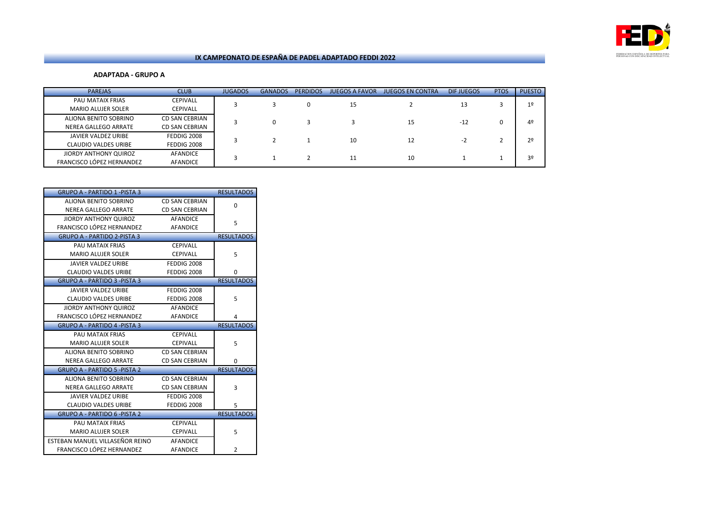

**ADAPTADA - GRUPO A**

| <b>PAREJAS</b>              | <b>CLUB</b>           | <b>JUGADOS</b> | <b>GANADOS</b> | <b>PERDIDOS</b> | <b>JUEGOS A FAVOR</b> | <b>JUEGOS EN CONTRA</b> | <b>DIFJUEGOS</b> | <b>PTOS</b> | <b>PUESTO</b>  |
|-----------------------------|-----------------------|----------------|----------------|-----------------|-----------------------|-------------------------|------------------|-------------|----------------|
| PAU MATAIX FRIAS            | <b>CEPIVALL</b>       |                |                |                 | 15                    |                         | 13               |             | 1 <sup>°</sup> |
| <b>MARIO ALUJER SOLER</b>   | <b>CEPIVALL</b>       |                |                |                 |                       |                         |                  |             |                |
| ALIONA BENITO SOBRINO       | <b>CD SAN CEBRIAN</b> |                |                |                 |                       | 15                      | $-12$            |             | 4 <sup>°</sup> |
| NEREA GALLEGO ARRATE        | <b>CD SAN CEBRIAN</b> |                |                |                 |                       |                         |                  |             |                |
| JAVIER VALDEZ URIBE         | FEDDIG 2008           |                |                |                 | 10                    | 12                      | $-2$             |             | 2 <sup>o</sup> |
| <b>CLAUDIO VALDES URIBE</b> | FEDDIG 2008           |                |                |                 |                       |                         |                  |             |                |
| JIORDY ANTHONY QUIROZ       | <b>AFANDICE</b>       |                |                |                 |                       | 10                      |                  |             | 3º             |
| FRANCISCO LÓPEZ HERNANDEZ   | AFANDICE              |                |                |                 | 11                    |                         |                  |             |                |

| <b>GRUPO A - PARTIDO 1 - PISTA 3</b> |                       | <b>RESULTADOS</b> |
|--------------------------------------|-----------------------|-------------------|
| ALIONA BENITO SOBRINO                | CD SAN CEBRIAN        | 0                 |
| <b>NEREA GALLEGO ARRATE</b>          | <b>CD SAN CEBRIAN</b> |                   |
| <b>JIORDY ANTHONY QUIROZ</b>         | <b>AFANDICE</b>       | 5                 |
| <b>FRANCISCO LÓPEZ HERNANDEZ</b>     | <b>AFANDICE</b>       |                   |
| <b>GRUPO A - PARTIDO 2-PISTA 3</b>   |                       | <b>RESULTADOS</b> |
| PAU MATAIX FRIAS                     | <b>CEPIVALL</b>       |                   |
| <b>MARIO ALUJER SOLER</b>            | <b>CEPIVALL</b>       | 5                 |
| <b>JAVIER VALDEZ URIBE</b>           | FEDDIG 2008           |                   |
| <b>CLAUDIO VALDES URIBE</b>          | FEDDIG 2008           | 0                 |
| <b>GRUPO A - PARTIDO 3 - PISTA 3</b> |                       | <b>RESULTADOS</b> |
| <b>JAVIER VALDEZ URIBE</b>           | FEDDIG 2008           |                   |
| <b>CLAUDIO VALDES URIBE</b>          | FEDDIG 2008           | 5                 |
| <b>JIORDY ANTHONY QUIROZ</b>         | <b>AFANDICE</b>       |                   |
| FRANCISCO LÓPEZ HERNANDEZ            | AFANDICE              | 4                 |
| <b>GRUPO A - PARTIDO 4 - PISTA 3</b> |                       | <b>RESULTADOS</b> |
|                                      |                       |                   |
| <b>PAU MATAIX FRIAS</b>              | <b>CEPIVALL</b>       |                   |
| <b>MARIO ALUJER SOLER</b>            | <b>CEPIVALL</b>       | 5                 |
| ALIONA BENITO SOBRINO                | <b>CD SAN CEBRIAN</b> |                   |
| <b>NEREA GALLEGO ARRATE</b>          | <b>CD SAN CEBRIAN</b> | 0                 |
| <b>GRUPO A - PARTIDO 5 - PISTA 2</b> |                       | <b>RESULTADOS</b> |
| ALIONA BENITO SOBRINO                | <b>CD SAN CEBRIAN</b> |                   |
| <b>NEREA GALLEGO ARRATE</b>          | <b>CD SAN CEBRIAN</b> | 3                 |
| <b>JAVIER VALDEZ URIBE</b>           | FEDDIG 2008           |                   |
| <b>CLAUDIO VALDES URIBE</b>          | FEDDIG 2008           | 5                 |
| <b>GRUPO A - PARTIDO 6 -PISTA 2</b>  |                       | <b>RESULTADOS</b> |
| PAU MATAIX FRIAS                     | <b>CEPIVALL</b>       |                   |
| <b>MARIO ALUJER SOLER</b>            | <b>CEPIVALL</b>       | 5                 |
| ESTEBAN MANUEL VILLASEÑOR REINO      | <b>AFANDICE</b>       |                   |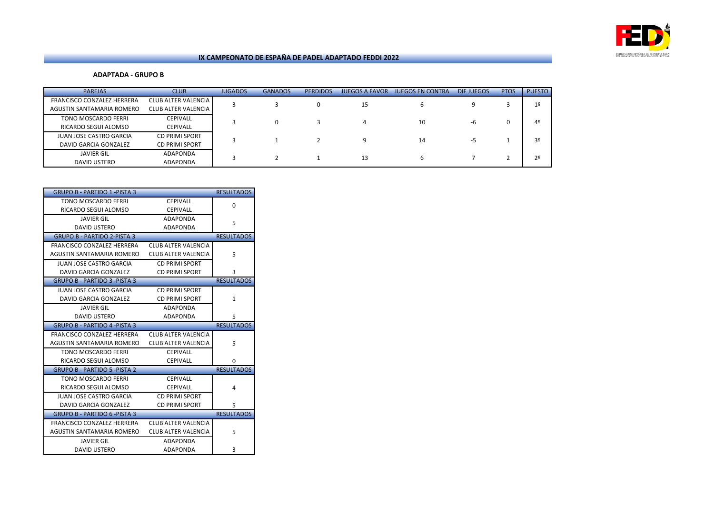

### **ADAPTADA - GRUPO B**

| <b>PAREJAS</b>                 | <b>CLUB</b>                | <b>JUGADOS</b> | <b>GANADOS</b> | <b>PERDIDOS</b> | <b>JUEGOS A FAVOR</b> | <b>JUEGOS EN CONTRA</b> | DIF JUEGOS | <b>PTOS</b> | <b>PUESTO</b>  |
|--------------------------------|----------------------------|----------------|----------------|-----------------|-----------------------|-------------------------|------------|-------------|----------------|
| FRANCISCO CONZALEZ HERRERA     | <b>CLUB ALTER VALENCIA</b> |                |                | 0               | 15                    | 6                       |            |             | 1 <sup>°</sup> |
| AGUSTIN SANTAMARIA ROMERO      | CLUB ALTER VALENCIA        |                |                |                 |                       |                         |            |             |                |
| TONO MOSCARDO FERRI            | <b>CEPIVALL</b>            |                |                |                 | 4                     | 10                      | -6         |             | 42             |
| RICARDO SEGUI ALOMSO           | <b>CEPIVALL</b>            |                |                |                 |                       |                         |            |             |                |
| <b>JUAN JOSE CASTRO GARCIA</b> | <b>CD PRIMI SPORT</b>      |                |                |                 | q                     | 14                      |            |             | 3º             |
| DAVID GARCIA GONZALEZ          | <b>CD PRIMI SPORT</b>      |                |                |                 |                       |                         | -5         |             |                |
| <b>JAVIER GIL</b>              | ADAPONDA                   |                |                |                 | 13                    |                         |            |             | 2 <sup>0</sup> |
| DAVID USTERO                   | ADAPONDA                   |                |                |                 |                       | 6                       |            |             |                |

| <b>GRUPO B - PARTIDO 1 - PISTA 3</b> |                            | <b>RESULTADOS</b> |
|--------------------------------------|----------------------------|-------------------|
| <b>TONO MOSCARDO FERRI</b>           | <b>CEPIVALL</b>            | $\Omega$          |
| RICARDO SEGUI ALOMSO                 | <b>CEPIVALL</b>            |                   |
| <b>JAVIER GIL</b>                    | <b>ADAPONDA</b>            | 5                 |
| <b>DAVID USTERO</b>                  | ADAPONDA                   |                   |
| <b>GRUPO B - PARTIDO 2-PISTA 3</b>   |                            | <b>RESULTADOS</b> |
| FRANCISCO CONZALEZ HERRERA           | <b>CLUB ALTER VALENCIA</b> |                   |
| AGUSTIN SANTAMARIA ROMERO            | CLUB ALTER VALENCIA        | 5                 |
| JUAN JOSE CASTRO GARCIA              | <b>CD PRIMI SPORT</b>      |                   |
| DAVID GARCIA GONZALEZ                | <b>CD PRIMI SPORT</b>      | 3                 |
| <b>GRUPO B - PARTIDO 3 -PISTA 3</b>  |                            | <b>RESULTADOS</b> |
| JUAN JOSE CASTRO GARCIA              | <b>CD PRIMI SPORT</b>      |                   |
| DAVID GARCIA GONZALEZ                | <b>CD PRIMI SPORT</b>      | $\mathbf{1}$      |
| <b>JAVIER GIL</b>                    | ADAPONDA                   |                   |
| <b>DAVID USTERO</b>                  | ADAPONDA                   | 5                 |
|                                      |                            |                   |
| <b>GRUPO B - PARTIDO 4 -PISTA 3</b>  |                            | <b>RESULTADOS</b> |
| FRANCISCO CONZALEZ HERRERA           | CLUB ALTER VALENCIA        |                   |
| AGUSTIN SANTAMARIA ROMERO            | <b>CLUB ALTER VALENCIA</b> | 5                 |
| TONO MOSCARDO FERRI                  | <b>CEPIVALL</b>            |                   |
| RICARDO SEGUI ALOMSO                 | <b>CEPIVALL</b>            | 0                 |
| <b>GRUPO B - PARTIDO 5 - PISTA 2</b> |                            | <b>RESULTADOS</b> |
| TONO MOSCARDO FERRI                  | <b>CEPIVALL</b>            |                   |
| RICARDO SEGUI ALOMSO                 | <b>CEPIVALL</b>            | 4                 |
| <b>JUAN JOSE CASTRO GARCIA</b>       | <b>CD PRIMI SPORT</b>      |                   |
| DAVID GARCIA GONZALEZ                | <b>CD PRIMI SPORT</b>      | 5                 |
| <b>GRUPO B - PARTIDO 6 -PISTA 3</b>  |                            | <b>RESULTADOS</b> |
| FRANCISCO CONZALEZ HERRERA           | CLUB ALTER VALENCIA        |                   |
| AGUSTIN SANTAMARIA ROMERO            | <b>CLUB ALTER VALENCIA</b> | 5                 |
| JAVIER GIL                           | ADAPONDA                   |                   |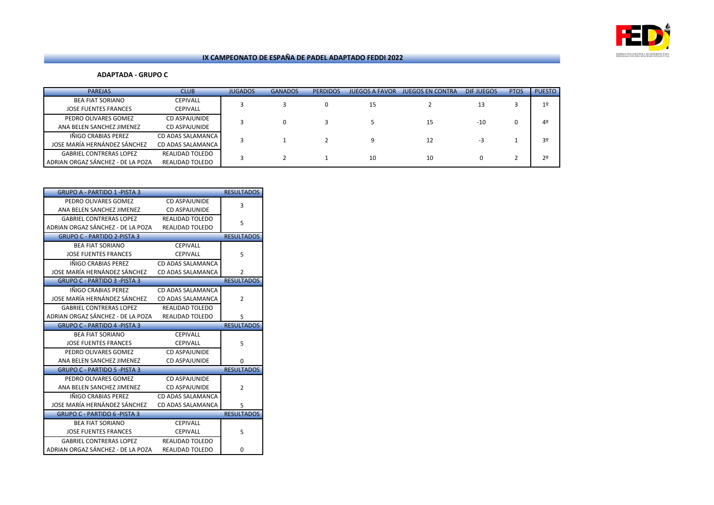

**ADAPTADA - GRUPO C**

| <b>PAREJAS</b>                    | <b>CLUB</b>       | <b>JUGADOS</b> | <b>GANADOS</b> | <b>PERDIDOS</b> | <b>JUEGOS A FAVOR</b> | <b>JUEGOS EN CONTRA</b> | DIF JUEGOS | <b>PTOS</b> | <b>PUESTO</b>  |
|-----------------------------------|-------------------|----------------|----------------|-----------------|-----------------------|-------------------------|------------|-------------|----------------|
| <b>BEA FIAT SORIANO</b>           | <b>CEPIVALL</b>   |                |                |                 | 15                    |                         | 13         |             | 1 <sup>°</sup> |
| <b>JOSE FUENTES FRANCES</b>       | <b>CEPIVALL</b>   |                |                |                 |                       |                         |            |             |                |
| PEDRO OLIVARES GOMEZ              | CD ASPAJUNIDE     |                |                |                 |                       | 15                      | $-10$      |             | 4º             |
| ANA BELEN SANCHEZ JIMENEZ         | CD ASPAJUNIDE     |                |                |                 |                       |                         |            |             |                |
| IÑIGO CRABIAS PEREZ               | CD ADAS SALAMANCA |                |                |                 | 9                     | 12                      | -3         |             | 3º             |
| JOSE MARÍA HERNÁNDEZ SÁNCHEZ      | CD ADAS SALAMANCA |                |                |                 |                       |                         |            |             |                |
| <b>GABRIEL CONTRERAS LOPEZ</b>    | REALIDAD TOLEDO   |                |                |                 | 10                    | 10                      | 0          |             | 2 <sup>0</sup> |
| ADRIAN ORGAZ SÁNCHEZ - DE LA POZA | REALIDAD TOLEDO   |                |                |                 |                       |                         |            |             |                |

| <b>GRUPO A - PARTIDO 1 -PISTA 3</b> |                        | <b>RESULTADOS</b> |
|-------------------------------------|------------------------|-------------------|
| PEDRO OLIVARES GOMEZ                | <b>CD ASPAJUNIDE</b>   | 3                 |
| ANA BELEN SANCHEZ JIMENEZ           | CD ASPAJUNIDE          |                   |
| <b>GABRIEL CONTRERAS LOPEZ</b>      | <b>REALIDAD TOLEDO</b> | 5                 |
| ADRIAN ORGAZ SÁNCHEZ - DE LA POZA   | <b>REALIDAD TOLEDO</b> |                   |
| <b>GRUPO C - PARTIDO 2-PISTA 3</b>  |                        | <b>RESULTADOS</b> |
| <b>BEA FIAT SORIANO</b>             | <b>CEPIVALL</b>        |                   |
| <b>JOSE FUENTES FRANCES</b>         | CEPIVALL               | 5                 |
| IÑIGO CRABIAS PEREZ                 | CD ADAS SALAMANCA      |                   |
| JOSE MARÍA HERNÁNDEZ SÁNCHEZ        | CD ADAS SALAMANCA      | $\overline{2}$    |
| <b>GRUPO C - PARTIDO 3 -PISTA 3</b> |                        | <b>RESULTADOS</b> |
| IÑIGO CRABIAS PEREZ                 | CD ADAS SALAMANCA      |                   |
| JOSE MARÍA HERNÁNDEZ SÁNCHEZ        | CD ADAS SALAMANCA      | $\overline{2}$    |
| <b>GABRIEL CONTRERAS LOPEZ</b>      | REALIDAD TOLEDO        |                   |
| ADRIAN ORGAZ SÁNCHEZ - DE LA POZA   | <b>REALIDAD TOLEDO</b> | 5                 |
|                                     |                        |                   |
| <b>GRUPO C - PARTIDO 4 -PISTA 3</b> |                        | <b>RESULTADOS</b> |
| <b>BEA FIAT SORIANO</b>             | <b>CEPIVALL</b>        |                   |
| <b>JOSE FUENTES FRANCES</b>         | <b>CEPIVALL</b>        | 5                 |
| PEDRO OLIVARES GOMEZ                | <b>CD ASPAJUNIDE</b>   |                   |
| ANA BELEN SANCHEZ JIMENEZ           | CD ASPAJUNIDE          | 0                 |
| <b>GRUPO C - PARTIDO 5 -PISTA 3</b> |                        | <b>RESULTADOS</b> |
| PEDRO OLIVARES GOMEZ                | CD ASPAJUNIDE          |                   |
| ANA BELEN SANCHEZ JIMENEZ           | <b>CD ASPAJUNIDE</b>   | $\overline{2}$    |
| IÑIGO CRABIAS PEREZ                 | CD ADAS SALAMANCA      |                   |
| JOSE MARÍA HERNÁNDEZ SÁNCHEZ        | CD ADAS SALAMANCA      | 5                 |
| <b>GRUPO C - PARTIDO 6 -PISTA 3</b> |                        | <b>RESULTADOS</b> |
| <b>BEA FIAT SORIANO</b>             | <b>CEPIVALL</b>        |                   |
| <b>JOSE FUENTES FRANCES</b>         | <b>CEPIVALL</b>        | 5                 |
| <b>GABRIEL CONTRERAS LOPEZ</b>      | <b>REALIDAD TOLEDO</b> |                   |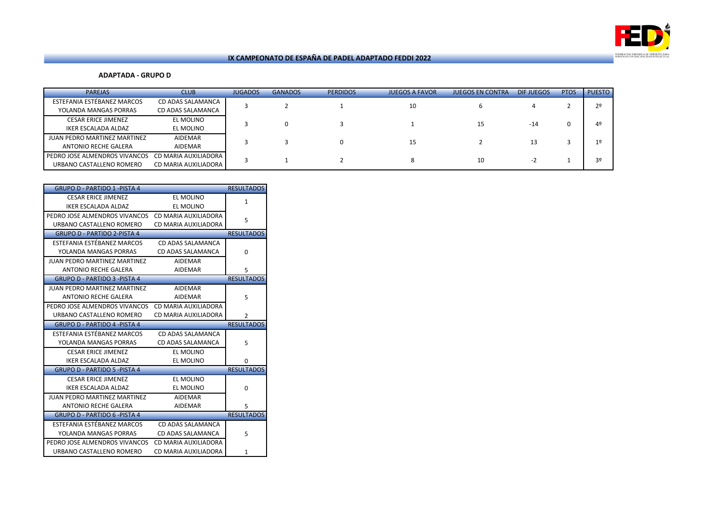

# **ADAPTADA - GRUPO D**

| <b>PAREJAS</b>                                            | <b>CLUB</b>                                  | <b>JUGADOS</b> | <b>GANADOS</b> | <b>PERDIDOS</b> | <b>JUEGOS A FAVOR</b> | <b>JUEGOS EN CONTRA</b> | DIF JUEGOS | <b>PTOS</b> | <b>PUESTO</b> |
|-----------------------------------------------------------|----------------------------------------------|----------------|----------------|-----------------|-----------------------|-------------------------|------------|-------------|---------------|
| ESTEFANIA ESTÉBANEZ MARCOS<br>YOLANDA MANGAS PORRAS       | CD ADAS SALAMANCA<br>CD ADAS SALAMANCA       |                |                |                 | 10                    |                         |            |             |               |
| CESAR ERICE JIMENEZ<br>IKER ESCALADA ALDAZ                | EL MOLINO<br>EL MOLINO                       |                |                |                 |                       | 15                      | $-14$      |             |               |
| JUAN PEDRO MARTINEZ MARTINEZ<br>ANTONIO RECHE GALERA      | <b>AIDEMAR</b><br><b>AIDEMAR</b>             |                |                |                 | 15                    |                         | 13         |             | 10            |
| PEDRO JOSE ALMENDROS VIVANCOS<br>URBANO CASTALLENO ROMERO | CD MARIA AUXILIADORA<br>CD MARIA AUXILIADORA |                |                |                 | 8                     | 10                      | -z         |             |               |

| <b>GRUPO D - PARTIDO 1 - PISTA 4</b> |                      | <b>RESULTADOS</b> |
|--------------------------------------|----------------------|-------------------|
| <b>CESAR ERICE JIMENEZ</b>           | EL MOLINO            | $\mathbf{1}$      |
| <b>IKER ESCALADA ALDAZ</b>           | EL MOLINO            |                   |
| PEDRO JOSE ALMENDROS VIVANCOS        | CD MARIA AUXILIADORA | 5                 |
| URBANO CASTALLENO ROMERO             | CD MARIA AUXILIADORA |                   |
| <b>GRUPO D - PARTIDO 2-PISTA 4</b>   |                      | <b>RESULTADOS</b> |
| ESTEFANIA ESTÉBANEZ MARCOS           | CD ADAS SALAMANCA    |                   |
| YOLANDA MANGAS PORRAS                | CD ADAS SALAMANCA    | $\Omega$          |
| <b>JUAN PEDRO MARTINEZ MARTINEZ</b>  | <b>AIDEMAR</b>       |                   |
| <b>ANTONIO RECHE GALERA</b>          | <b>AIDEMAR</b>       | 5                 |
| <b>GRUPO D - PARTIDO 3 -PISTA 4</b>  |                      | <b>RESULTADOS</b> |
| <b>JUAN PEDRO MARTINEZ MARTINEZ</b>  | <b>AIDEMAR</b>       |                   |
| <b>ANTONIO RECHE GALERA</b>          | <b>AIDEMAR</b>       | 5                 |
| PEDRO JOSE ALMENDROS VIVANCOS        | CD MARIA AUXILIADORA |                   |
| URBANO CASTALLENO ROMERO             | CD MARIA AUXILIADORA | $\overline{2}$    |
|                                      |                      |                   |
| <b>GRUPO D - PARTIDO 4 -PISTA 4</b>  |                      | <b>RESULTADOS</b> |
| ESTEFANIA ESTÉBANEZ MARCOS           | CD ADAS SALAMANCA    |                   |
| YOLANDA MANGAS PORRAS                | CD ADAS SALAMANCA    | 5                 |
| <b>CESAR ERICE JIMENEZ</b>           | <b>EL MOLINO</b>     |                   |
| <b>IKER ESCALADA ALDAZ</b>           | <b>EL MOLINO</b>     | 0                 |
| <b>GRUPO D - PARTIDO 5 -PISTA 4</b>  |                      | <b>RESULTADOS</b> |
| <b>CESAR ERICE JIMENEZ</b>           | EL MOLINO            |                   |
| <b>IKER ESCALADA ALDAZ</b>           | <b>EL MOLINO</b>     | $\Omega$          |
| <b>JUAN PEDRO MARTINEZ MARTINEZ</b>  | <b>AIDEMAR</b>       |                   |
| <b>ANTONIO RECHE GALERA</b>          | <b>AIDEMAR</b>       | 5                 |
| <b>GRUPO D - PARTIDO 6 -PISTA 4</b>  |                      | <b>RESULTADOS</b> |
| ESTEFANIA ESTÉBANEZ MARCOS           | CD ADAS SALAMANCA    |                   |
| YOLANDA MANGAS PORRAS                | CD ADAS SALAMANCA    | 5                 |
| PEDRO JOSE ALMENDROS VIVANCOS        | CD MARIA AUXILIADORA |                   |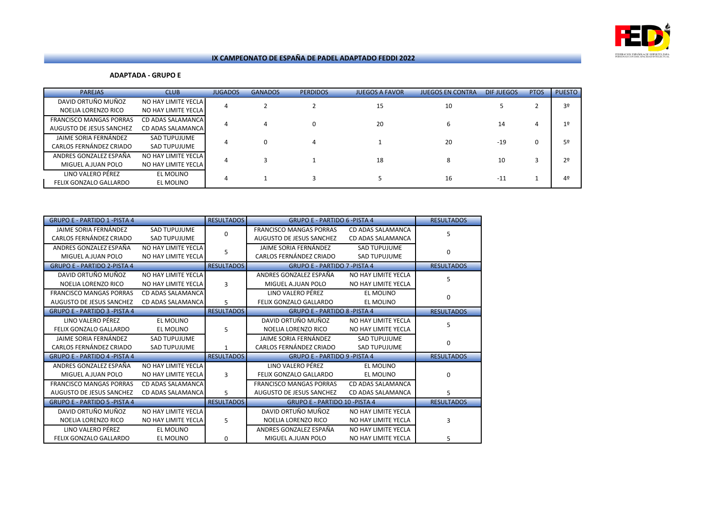

### **ADAPTADA - GRUPO E**

| <b>PAREJAS</b>                                             | <b>CLUB</b>                                | <b>JUGADOS</b> | <b>GANADOS</b> | <b>PERDIDOS</b> | <b>JUEGOS A FAVOR</b> | <b>JUEGOS EN CONTRA</b> | DIF JUEGOS | <b>PTOS</b> | <b>PUESTO</b>  |
|------------------------------------------------------------|--------------------------------------------|----------------|----------------|-----------------|-----------------------|-------------------------|------------|-------------|----------------|
| DAVID ORTUÑO MUÑOZ<br>NOELIA LORENZO RICO                  | NO HAY LIMITE YECLA<br>NO HAY LIMITE YECLA | 4              |                |                 | 15                    | 10                      |            |             | 3 <sup>o</sup> |
| <b>FRANCISCO MANGAS PORRAS</b><br>AUGUSTO DE JESUS SANCHEZ | CD ADAS SALAMANCA<br>CD ADAS SALAMANCA     |                |                |                 | 20                    |                         | 14         | 4           | 1 <sup>o</sup> |
| JAIME SORIA FERNÁNDEZ<br>CARLOS FERNÁNDEZ CRIADO           | SAD TUPUJUME<br>SAD TUPUJUME               |                |                |                 |                       | 20                      | $-19$      | 0           | 5º             |
| ANDRES GONZALEZ ESPAÑA<br>MIGUEL A.JUAN POLO               | NO HAY LIMITE YECLA<br>NO HAY LIMITE YECLA |                |                |                 | 18                    |                         | 10         |             | 2 <sup>0</sup> |
| LINO VALERO PÉREZ<br>FELIX GONZALO GALLARDO                | EL MOLINO<br>EL MOLINO                     |                |                |                 |                       | 16                      | $-11$      |             | 4º             |

| <b>GRUPO E - PARTIDO 1 - PISTA 4</b> |                          | <b>RESULTADOS</b> | <b>GRUPO E - PARTIDO 6 -PISTA 4</b>  |                     | <b>RESULTADOS</b> |
|--------------------------------------|--------------------------|-------------------|--------------------------------------|---------------------|-------------------|
| JAIME SORIA FERNÁNDEZ                | <b>SAD TUPUJUME</b>      | 0                 | <b>FRANCISCO MANGAS PORRAS</b>       | CD ADAS SALAMANCA   | 5                 |
| CARLOS FERNÁNDEZ CRIADO              | <b>SAD TUPUJUME</b>      |                   | AUGUSTO DE JESUS SANCHEZ             | CD ADAS SALAMANCA   |                   |
| ANDRES GONZALEZ ESPAÑA               | NO HAY LIMITE YECLA      | 5                 | JAIME SORIA FERNÁNDEZ                | <b>SAD TUPUJUME</b> | $\Omega$          |
| MIGUEL A.JUAN POLO                   | NO HAY LIMITE YECLA      |                   | CARLOS FERNÁNDEZ CRIADO              | <b>SAD TUPUJUME</b> |                   |
| <b>GRUPO E - PARTIDO 2-PISTA 4</b>   |                          | <b>RESULTADOS</b> | <b>GRUPO E - PARTIDO 7 - PISTA 4</b> |                     | <b>RESULTADOS</b> |
| DAVID ORTUÑO MUÑOZ                   | NO HAY LIMITE YECLA      |                   | ANDRES GONZALEZ ESPAÑA               | NO HAY LIMITE YECLA | 5                 |
| NOELIA LORENZO RICO                  | NO HAY LIMITE YECLA      | 3                 | MIGUEL A.JUAN POLO                   | NO HAY LIMITE YECLA |                   |
| <b>FRANCISCO MANGAS PORRAS</b>       | CD ADAS SALAMANCA        |                   | LINO VALERO PÉREZ                    | EL MOLINO           | $\Omega$          |
| <b>AUGUSTO DE JESUS SANCHEZ</b>      | CD ADAS SALAMANCA        | 5                 | FELIX GONZALO GALLARDO               | EL MOLINO           |                   |
| <b>GRUPO E - PARTIDO 3 -PISTA 4</b>  |                          | <b>RESULTADOS</b> | <b>GRUPO E - PARTIDO 8 -PISTA 4</b>  |                     | <b>RESULTADOS</b> |
| LINO VALERO PÉREZ                    | EL MOLINO                |                   | DAVID ORTUÑO MUÑOZ                   | NO HAY LIMITE YECLA | 5                 |
| FELIX GONZALO GALLARDO               | EL MOLINO                | 5                 | NOELIA LORENZO RICO                  | NO HAY LIMITE YECLA |                   |
| JAIME SORIA FERNÁNDEZ                | <b>SAD TUPUJUME</b>      |                   | JAIME SORIA FERNÁNDEZ                | <b>SAD TUPUJUME</b> | $\Omega$          |
| CARLOS FERNÁNDEZ CRIADO              | <b>SAD TUPUJUME</b>      | $\mathbf{1}$      | CARLOS FERNÁNDEZ CRIADO              | <b>SAD TUPUJUME</b> |                   |
| <b>GRUPO E - PARTIDO 4 -PISTA 4</b>  |                          | <b>RESULTADOS</b> | <b>GRUPO E - PARTIDO 9 - PISTA 4</b> |                     | <b>RESULTADOS</b> |
| ANDRES GONZALEZ ESPAÑA               | NO HAY LIMITE YECLA      |                   | LINO VALERO PÉREZ                    | EL MOLINO           |                   |
| MIGUEL A.JUAN POLO                   | NO HAY LIMITE YECLA      | 3                 | FELIX GONZALO GALLARDO               | <b>EL MOLINO</b>    | $\Omega$          |
| <b>FRANCISCO MANGAS PORRAS</b>       | <b>CD ADAS SALAMANCA</b> |                   | <b>FRANCISCO MANGAS PORRAS</b>       | CD ADAS SALAMANCA   |                   |
| <b>AUGUSTO DE JESUS SANCHEZ</b>      | CD ADAS SALAMANCA        | 5                 | AUGUSTO DE JESUS SANCHEZ             | CD ADAS SALAMANCA   | 5.                |
| <b>GRUPO E - PARTIDO 5 - PISTA 4</b> |                          | <b>RESULTADOS</b> | <b>GRUPO E - PARTIDO 10 -PISTA 4</b> |                     | <b>RESULTADOS</b> |
| DAVID ORTUÑO MUÑOZ                   | NO HAY LIMITE YECLA      |                   | DAVID ORTUÑO MUÑOZ                   | NO HAY LIMITE YECLA |                   |
| NOELIA LORENZO RICO                  | NO HAY LIMITE YECLA      | 5                 | NOELIA LORENZO RICO                  | NO HAY LIMITE YECLA | 3                 |
| LINO VALERO PÉREZ                    | EL MOLINO                |                   | ANDRES GONZALEZ ESPAÑA               | NO HAY LIMITE YECLA |                   |
| <b>FELIX GONZALO GALLARDO</b>        | EL MOLINO                | 0                 | MIGUEL A.JUAN POLO                   | NO HAY LIMITE YECLA | 5.                |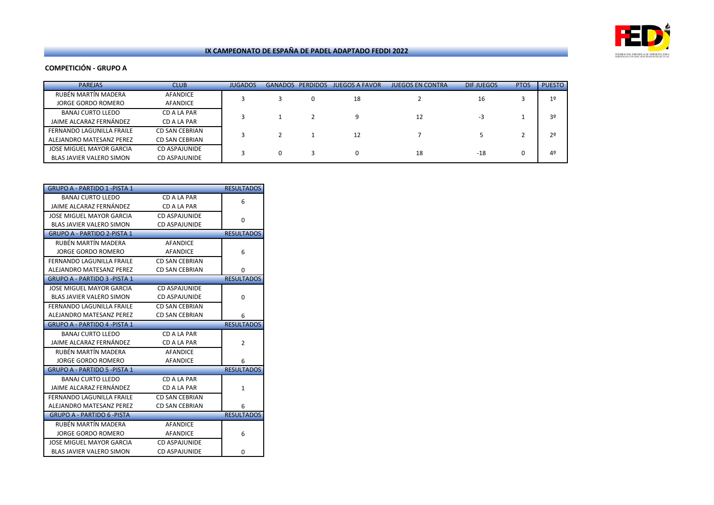

# **COMPETICIÓN - GRUPO A**

| <b>PAREJAS</b>            | <b>CLUB</b>    | <b>JUGADOS</b> | <b>GANADOS</b> | <b>PERDIDOS</b> | <b>JUEGOS A FAVOR</b> | <b>JUEGOS EN CONTRA</b> | DIF JUEGOS | <b>PTOS</b> | <b>PUESTO</b>  |
|---------------------------|----------------|----------------|----------------|-----------------|-----------------------|-------------------------|------------|-------------|----------------|
| RUBÊN MARTIN MADERA       | AFANDICE       |                |                |                 | 18                    |                         | 16         |             | 1 <sup>°</sup> |
| JORGE GORDO ROMERO        | AFANDICE       |                |                |                 |                       |                         |            |             |                |
| BANAJ CURTO LLEDO         | CD A LA PAR    |                |                |                 |                       | 12                      | -3         |             | 3º             |
| JAIME ALCARAZ FERNÁNDEZ   | CD A LA PAR    |                |                |                 |                       |                         |            |             |                |
| FERNANDO LAGUNILLA FRAILE | CD SAN CEBRIAN |                |                |                 | 12                    |                         |            |             | 2 <sup>o</sup> |
| ALEJANDRO MATESANZ PEREZ  | CD SAN CEBRIAN |                |                |                 |                       |                         |            |             |                |
| JOSE MIGUEL MAYOR GARCIA  | CD ASPAJUNIDE  |                | 0              |                 |                       | 18                      | $-18$      | 0           | 4 <sup>°</sup> |
| BLAS JAVIER VALERO SIMON  | CD ASPAJUNIDE  |                |                |                 |                       |                         |            |             |                |

|                                     |                       | <b>RESULTADOS</b> |
|-------------------------------------|-----------------------|-------------------|
| <b>BANAJ CURTO LLEDO</b>            | CD A LA PAR           | 6                 |
| JAIME ALCARAZ FERNÁNDEZ             | CD A LA PAR           |                   |
| JOSE MIGUEL MAYOR GARCIA            | CD ASPAJUNIDE         | 0                 |
| <b>BLAS JAVIER VALERO SIMON</b>     | <b>CD ASPAJUNIDE</b>  |                   |
| <b>GRUPO A - PARTIDO 2-PISTA 1</b>  |                       | <b>RESULTADOS</b> |
| RUBÉN MARTÍN MADERA                 | AFANDICE              |                   |
| JORGE GORDO ROMERO                  | <b>AFANDICE</b>       | 6                 |
| FERNANDO LAGUNILLA FRAILE           | <b>CD SAN CEBRIAN</b> |                   |
| ALEJANDRO MATESANZ PEREZ            | <b>CD SAN CEBRIAN</b> | 0                 |
| <b>GRUPO A - PARTIDO 3 -PISTA 1</b> |                       | <b>RESULTADOS</b> |
| JOSE MIGUEL MAYOR GARCIA            | <b>CD ASPAJUNIDE</b>  |                   |
| <b>BLAS JAVIER VALERO SIMON</b>     | <b>CD ASPAJUNIDE</b>  | 0                 |
| FERNANDO LAGUNILLA FRAILE           | <b>CD SAN CEBRIAN</b> |                   |
| ALEJANDRO MATESANZ PEREZ            | <b>CD SAN CEBRIAN</b> | 6                 |
| <b>GRUPO A - PARTIDO 4 -PISTA 1</b> |                       | <b>RESULTADOS</b> |
| <b>BANAJ CURTO LLEDO</b>            | CD A LA PAR           |                   |
|                                     | CD A LA PAR           |                   |
| JAIME ALCARAZ FERNÁNDEZ             |                       | $\overline{2}$    |
| RUBÉN MARTÍN MADERA                 | <b>AFANDICE</b>       |                   |
| <b>JORGE GORDO ROMERO</b>           | <b>AFANDICE</b>       | 6                 |
| <b>GRUPO A - PARTIDO 5 -PISTA 1</b> |                       | <b>RESULTADOS</b> |
| <b>BANAJ CURTO LLEDO</b>            | CD A LA PAR           |                   |
| JAIME ALCARAZ FERNÁNDEZ             | CD A LA PAR           | $\mathbf{1}$      |
| <b>FERNANDO LAGUNILLA FRAILE</b>    | <b>CD SAN CEBRIAN</b> |                   |
| ALEJANDRO MATESANZ PEREZ            | <b>CD SAN CEBRIAN</b> | 6                 |
| <b>GRUPO A - PARTIDO 6 - PISTA</b>  |                       | <b>RESULTADOS</b> |
| RUBÉN MARTÍN MADERA                 | <b>AFANDICE</b>       |                   |
| <b>JORGE GORDO ROMERO</b>           | <b>AFANDICE</b>       | 6                 |
| JOSE MIGUEL MAYOR GARCIA            | CD ASPAJUNIDE         |                   |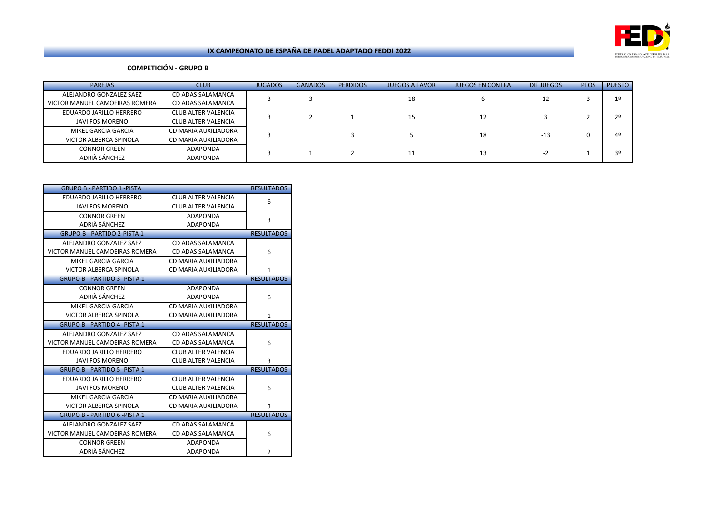

# **COMPETICIÓN - GRUPO B**

| <b>PAREJAS</b>                 | <b>CLUB</b>                | <b>JUGADOS</b> | <b>GANADOS</b> | <b>PERDIDOS</b> | <b>JUEGOS A FAVOR</b> | <b>JUEGOS EN CONTRA</b> | DIF JUEGOS | <b>PTOS</b> | <b>PUESTO</b>  |
|--------------------------------|----------------------------|----------------|----------------|-----------------|-----------------------|-------------------------|------------|-------------|----------------|
| ALEJANDRO GONZALEZ SAEZ        | CD ADAS SALAMANCA          |                |                |                 | 18                    |                         | 12         |             | 1 <sup>°</sup> |
| VICTOR MANUEL CAMOEIRAS ROMERA | CD ADAS SALAMANCA          |                |                |                 |                       |                         |            |             |                |
| EDUARDO JARILLO HERRERO        | <b>CLUB ALTER VALENCIA</b> |                |                |                 | 15                    | 12                      |            |             | 2°             |
| JAVI FOS MORENO                | CLUB ALTER VALENCIA        |                |                |                 |                       |                         |            |             |                |
| MIKEL GARCIA GARCIA            | CD MARIA AUXILIADORA       |                |                |                 |                       | 18                      | $-13$      |             | 4 <sup>°</sup> |
| VICTOR ALBERCA SPINOLA         | CD MARIA AUXILIADORA       |                |                |                 |                       |                         |            |             |                |
| <b>CONNOR GREEN</b>            | <b>ADAPONDA</b>            |                |                |                 | 11                    | 13                      | $-2$       |             | 3º             |
| ADRIÀ SÁNCHEZ                  | <b>ADAPONDA</b>            |                |                |                 |                       |                         |            |             |                |

| <b>GRUPO B - PARTIDO 1 -PISTA</b>    |                            | <b>RESULTADOS</b> |
|--------------------------------------|----------------------------|-------------------|
| EDUARDO JARILLO HERRERO              | <b>CLUB ALTER VALENCIA</b> | 6                 |
| <b>JAVI FOS MORENO</b>               | CLUB ALTER VALENCIA        |                   |
| <b>CONNOR GREEN</b>                  | <b>ADAPONDA</b>            | 3                 |
| ADRIÀ SÁNCHEZ                        | <b>ADAPONDA</b>            |                   |
| <b>GRUPO B - PARTIDO 2-PISTA 1</b>   |                            | <b>RESULTADOS</b> |
| ALEJANDRO GONZALEZ SAEZ              | CD ADAS SALAMANCA          |                   |
| VICTOR MANUEL CAMOEIRAS ROMERA       | CD ADAS SALAMANCA          | 6                 |
| MIKEL GARCIA GARCIA                  | CD MARIA AUXILIADORA       |                   |
| VICTOR ALBERCA SPINOLA               | CD MARIA AUXILIADORA       | 1                 |
| <b>GRUPO B - PARTIDO 3 -PISTA 1</b>  |                            | <b>RESULTADOS</b> |
| <b>CONNOR GREEN</b>                  | <b>ADAPONDA</b>            |                   |
| ADRIÀ SÁNCHEZ                        | <b>ADAPONDA</b>            | 6                 |
| MIKEL GARCIA GARCIA                  | CD MARIA AUXILIADORA       |                   |
| VICTOR ALBERCA SPINOLA               | CD MARIA AUXILIADORA       | $\mathbf{1}$      |
| <b>GRUPO B - PARTIDO 4 - PISTA 1</b> |                            | <b>RESULTADOS</b> |
| ALEJANDRO GONZALEZ SAEZ              | CD ADAS SALAMANCA          |                   |
| VICTOR MANUEL CAMOEIRAS ROMERA       | CD ADAS SALAMANCA          | 6                 |
| EDUARDO JARILLO HERRERO              | CLUB ALTER VALENCIA        |                   |
| <b>JAVI FOS MORENO</b>               | CLUB ALTER VALENCIA        | 3                 |
| <b>GRUPO B - PARTIDO 5 - PISTA 1</b> |                            | <b>RESULTADOS</b> |
| EDUARDO JARILLO HERRERO              | CLUB ALTER VALENCIA        |                   |
| <b>JAVI FOS MORENO</b>               | CLUB ALTER VALENCIA        | 6                 |
| MIKEL GARCIA GARCIA                  | CD MARIA AUXILIADORA       |                   |
| VICTOR ALBERCA SPINOLA               | CD MARIA AUXILIADORA       | 3                 |
| <b>GRUPO B - PARTIDO 6 -PISTA 1</b>  |                            | <b>RESULTADOS</b> |
| ALEJANDRO GONZALEZ SAEZ              | CD ADAS SALAMANCA          |                   |
| VICTOR MANUEL CAMOEIRAS ROMERA       | CD ADAS SALAMANCA          | 6                 |
| <b>CONNOR GREEN</b>                  | <b>ADAPONDA</b>            |                   |
| ADRIÀ SÁNCHEZ                        | <b>ADAPONDA</b>            | $\overline{2}$    |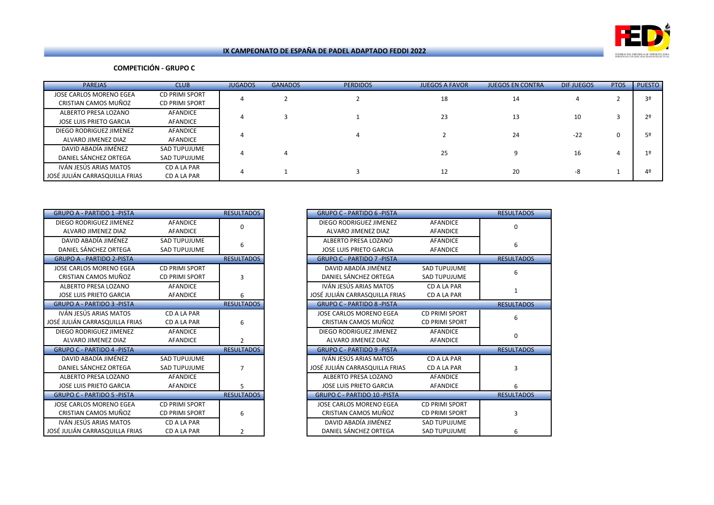

# **COMPETICIÓN - GRUPO C**

| <b>PAREJAS</b>                                           | <b>CLUB</b>                                    | <b>JUGADOS</b> | <b>GANADOS</b> | <b>PERDIDOS</b> | <b>JUEGOS A FAVOR</b> | <b>JUEGOS EN CONTRA</b> | DIF JUEGOS | <b>PTOS</b> | <b>PUESTO</b> |
|----------------------------------------------------------|------------------------------------------------|----------------|----------------|-----------------|-----------------------|-------------------------|------------|-------------|---------------|
| JOSE CARLOS MORENO EGEA<br>CRISTIAN CAMOS MUÑOZ          | <b>CD PRIMI SPORT</b><br><b>CD PRIMI SPORT</b> |                |                |                 | 18                    | 14                      |            |             | 3º            |
| ALBERTO PRESA LOZANO<br>JOSE LUIS PRIETO GARCIA          | AFANDICE<br>AFANDICE                           |                |                |                 | 23                    | 13                      | 10         |             | 2°            |
| DIEGO RODRIGUEZ JIMENEZ<br>ALVARO JIMENEZ DIAZ           | AFANDICE<br>AFANDICE                           |                |                |                 |                       | 24                      | $-22$      |             | 50            |
| DAVID ABADÍA JIMÉNEZ<br>DANIEL SÁNCHEZ ORTEGA            | SAD TUPUJUME<br><b>SAD TUPUJUME</b>            |                |                |                 | 25                    |                         | 16         |             |               |
| IVÁN JESÚS ARIAS MATOS<br>JOSÉ JULIÁN CARRASQUILLA FRIAS | CD A LA PAR<br>CD A LA PAR                     |                |                |                 | 12                    | 20                      | -8         |             | 40            |

| <b>GRUPO A - PARTIDO 1 -PISTA</b> |                       | <b>RESULTADOS</b> | <b>GRUPO C - PARTIDO 6 -PISTA</b>  |                       |
|-----------------------------------|-----------------------|-------------------|------------------------------------|-----------------------|
| DIEGO RODRIGUEZ JIMENEZ           | <b>AFANDICE</b>       | 0                 | DIEGO RODRIGUEZ JIMENEZ            | <b>AFANDICE</b>       |
| ALVARO JIMENEZ DIAZ               | <b>AFANDICE</b>       |                   | ALVARO JIMENEZ DIAZ                | <b>AFANDICE</b>       |
| DAVID ABADÍA JIMÉNEZ              | <b>SAD TUPUJUME</b>   | 6                 | ALBERTO PRESA LOZANO               | <b>AFANDICE</b>       |
| DANIEL SÁNCHEZ ORTEGA             | <b>SAD TUPUJUME</b>   |                   | <b>JOSE LUIS PRIETO GARCIA</b>     | AFANDICE              |
| <b>GRUPO A - PARTIDO 2-PISTA</b>  |                       | <b>RESULTADOS</b> | <b>GRUPO C - PARTIDO 7 -PISTA</b>  |                       |
| JOSE CARLOS MORENO EGEA           | <b>CD PRIMI SPORT</b> |                   | DAVID ABADÍA JIMÉNEZ               | <b>SAD TUPUJUME</b>   |
| CRISTIAN CAMOS MUÑOZ              | <b>CD PRIMI SPORT</b> | 3                 | DANIEL SÁNCHEZ ORTEGA              | <b>SAD TUPUJUME</b>   |
| ALBERTO PRESA LOZANO              | <b>AFANDICE</b>       |                   | IVÁN JESÚS ARIAS MATOS             | CD A LA PAR           |
| <b>JOSE LUIS PRIETO GARCIA</b>    | <b>AFANDICE</b>       | 6                 | JOSÉ JULIÁN CARRASQUILLA FRIAS     | CD A LA PAR           |
| <b>GRUPO A - PARTIDO 3 -PISTA</b> |                       | <b>RESULTADOS</b> | <b>GRUPO C - PARTIDO 8 -PISTA</b>  |                       |
| IVÁN JESÚS ARIAS MATOS            | CD A LA PAR           |                   | JOSE CARLOS MORENO EGEA            | <b>CD PRIMI SPORT</b> |
| JOSÉ JULIÁN CARRASQUILLA FRIAS    | CD A LA PAR           | 6                 | CRISTIAN CAMOS MUÑOZ               | <b>CD PRIMI SPORT</b> |
| DIEGO RODRIGUEZ JIMENEZ           | AFANDICE              |                   | DIEGO RODRIGUEZ JIMENEZ            | <b>AFANDICE</b>       |
| ALVARO JIMENEZ DIAZ               | <b>AFANDICE</b>       | $\overline{2}$    | ALVARO JIMENEZ DIAZ                | <b>AFANDICE</b>       |
| <b>GRUPO C - PARTIDO 4 -PISTA</b> |                       | <b>RESULTADOS</b> | <b>GRUPO C - PARTIDO 9 -PISTA</b>  |                       |
| DAVID ABADÍA JIMÉNEZ              | <b>SAD TUPUJUME</b>   |                   | IVÁN JESÚS ARIAS MATOS             | CD A LA PAR           |
| DANIEL SÁNCHEZ ORTEGA             | <b>SAD TUPUJUME</b>   | 7                 | JOSÉ JULIÁN CARRASQUILLA FRIAS     | CD A LA PAR           |
| ALBERTO PRESA LOZANO              | <b>AFANDICE</b>       |                   | ALBERTO PRESA LOZANO               | <b>AFANDICE</b>       |
| <b>JOSE LUIS PRIETO GARCIA</b>    | <b>AFANDICE</b>       | 5                 | <b>JOSE LUIS PRIETO GARCIA</b>     | <b>AFANDICE</b>       |
| <b>GRUPO C - PARTIDO 5 -PISTA</b> |                       | <b>RESULTADOS</b> | <b>GRUPO C - PARTIDO 10 -PISTA</b> |                       |
| <b>JOSE CARLOS MORENO EGEA</b>    | <b>CD PRIMI SPORT</b> |                   | <b>JOSE CARLOS MORENO EGEA</b>     | <b>CD PRIMI SPORT</b> |
| CRISTIAN CAMOS MUÑOZ              | <b>CD PRIMI SPORT</b> | 6                 | CRISTIAN CAMOS MUÑOZ               | <b>CD PRIMI SPORT</b> |
| IVÁN JESÚS ARIAS MATOS            | CD A LA PAR           |                   | DAVID ABADÍA JIMÉNEZ               | <b>SAD TUPUJUME</b>   |
| JOSÉ JULIÁN CARRASQUILLA FRIAS    | CD A LA PAR           | 2                 | DANIEL SÁNCHEZ ORTEGA              | <b>SAD TUPUJUME</b>   |

| <b>GRUPO A - PARTIDO 1 -PISTA</b> |                       | <b>RESULTADOS</b> | <b>GRUPO C - PARTIDO 6 -PISTA</b>  |                       | <b>RESULTADOS</b> |
|-----------------------------------|-----------------------|-------------------|------------------------------------|-----------------------|-------------------|
| DIEGO RODRIGUEZ JIMENEZ           | <b>AFANDICE</b>       | $\Omega$          | DIEGO RODRIGUEZ JIMENEZ            | <b>AFANDICE</b>       | 0                 |
| ALVARO JIMENEZ DIAZ               | AFANDICE              |                   | ALVARO JIMENEZ DIAZ                | <b>AFANDICE</b>       |                   |
| DAVID ABADÍA JIMÉNEZ              | <b>SAD TUPUJUME</b>   | 6                 | ALBERTO PRESA LOZANO               | <b>AFANDICE</b>       | 6                 |
| DANIEL SÁNCHEZ ORTEGA             | <b>SAD TUPUJUME</b>   |                   | <b>JOSE LUIS PRIETO GARCIA</b>     | <b>AFANDICE</b>       |                   |
| <b>GRUPO A - PARTIDO 2-PISTA</b>  |                       | <b>RESULTADOS</b> | <b>GRUPO C - PARTIDO 7 -PISTA</b>  |                       | <b>RESULTADOS</b> |
| JOSE CARLOS MORENO EGEA           | <b>CD PRIMI SPORT</b> |                   | DAVID ABADÍA JIMÉNEZ               | <b>SAD TUPUJUME</b>   | 6                 |
| CRISTIAN CAMOS MUÑOZ              | <b>CD PRIMI SPORT</b> | 3                 | DANIEL SÁNCHEZ ORTEGA              | <b>SAD TUPUJUME</b>   |                   |
| ALBERTO PRESA LOZANO              | <b>AFANDICE</b>       |                   | IVÁN JESÚS ARIAS MATOS             | CD A LA PAR           | 1                 |
| <b>JOSE LUIS PRIETO GARCIA</b>    | <b>AFANDICE</b>       | 6                 | JOSÉ JULIÁN CARRASQUILLA FRIAS     | CD A LA PAR           |                   |
| <b>GRUPO A - PARTIDO 3 -PISTA</b> |                       | <b>RESULTADOS</b> | <b>GRUPO C - PARTIDO 8 -PISTA</b>  |                       | <b>RESULTADOS</b> |
| IVÁN JESÚS ARIAS MATOS            | CD A LA PAR           |                   | JOSE CARLOS MORENO EGEA            | <b>CD PRIMI SPORT</b> | 6                 |
| SÉ JULIÁN CARRASQUILLA FRIAS      | CD A LA PAR           | 6                 | CRISTIAN CAMOS MUÑOZ               | <b>CD PRIMI SPORT</b> |                   |
| DIEGO RODRIGUEZ JIMENEZ           | <b>AFANDICE</b>       |                   | DIEGO RODRIGUEZ JIMENEZ            | <b>AFANDICE</b>       | $\Omega$          |
| ALVARO JIMENEZ DIAZ               | <b>AFANDICE</b>       | $\mathcal{P}$     | ALVARO JIMENEZ DIAZ                | <b>AFANDICE</b>       |                   |
| <b>GRUPO C - PARTIDO 4 -PISTA</b> |                       | <b>RESULTADOS</b> | <b>GRUPO C - PARTIDO 9 -PISTA</b>  |                       | <b>RESULTADOS</b> |
| DAVID ABADÍA JIMÉNEZ              | <b>SAD TUPUJUME</b>   |                   | IVÁN JESÚS ARIAS MATOS             | CD A LA PAR           |                   |
| DANIEL SÁNCHEZ ORTEGA             | <b>SAD TUPUJUME</b>   | 7                 | JOSÉ JULIÁN CARRASQUILLA FRIAS     | CD A LA PAR           |                   |
| ALBERTO PRESA LOZANO              | <b>AFANDICE</b>       |                   | ALBERTO PRESA LOZANO               | <b>AFANDICE</b>       |                   |
| <b>JOSE LUIS PRIETO GARCIA</b>    | <b>AFANDICE</b>       | 5                 | <b>JOSE LUIS PRIETO GARCIA</b>     | <b>AFANDICE</b>       | 6                 |
| <b>GRUPO C - PARTIDO 5 -PISTA</b> |                       | <b>RESULTADOS</b> | <b>GRUPO C - PARTIDO 10 -PISTA</b> |                       | <b>RESULTADOS</b> |
| <b>JOSE CARLOS MORENO EGEA</b>    | <b>CD PRIMI SPORT</b> |                   | <b>JOSE CARLOS MORENO EGEA</b>     | <b>CD PRIMI SPORT</b> |                   |
| CRISTIAN CAMOS MUÑOZ              | <b>CD PRIMI SPORT</b> | 6                 | CRISTIAN CAMOS MUÑOZ               | <b>CD PRIMI SPORT</b> | 3                 |
| IVÁN JESÚS ARIAS MATOS            | CD A LA PAR           |                   | DAVID ABADÍA JIMÉNEZ               | <b>SAD TUPUJUME</b>   |                   |
| SÉ JULIÁN CARRASQUILLA FRIAS      | CD A LA PAR           | 2                 | DANIEL SÁNCHEZ ORTEGA              | <b>SAD TUPUJUME</b>   | 6                 |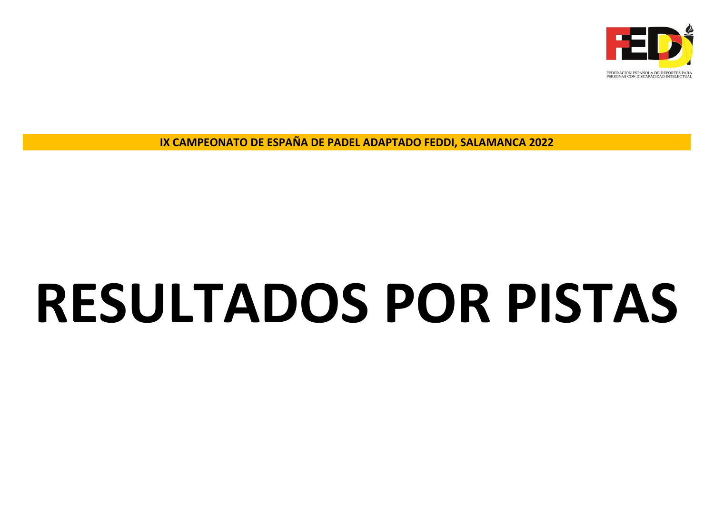

# **RESULTADOS POR PISTAS**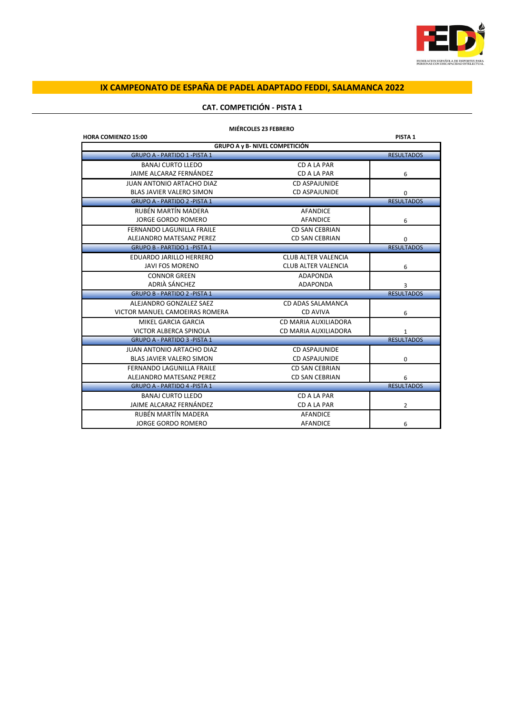

# **CAT. COMPETICIÓN - PISTA 1**

| <b>HORA COMIENZO 15:00</b>           |                                       | PISTA <sub>1</sub> |
|--------------------------------------|---------------------------------------|--------------------|
|                                      | <b>GRUPO A y B- NIVEL COMPETICIÓN</b> |                    |
| <b>GRUPO A - PARTIDO 1 - PISTA 1</b> |                                       | <b>RESULTADOS</b>  |
| <b>BANAJ CURTO LLEDO</b>             | CD A LA PAR                           |                    |
| JAIME ALCARAZ FERNÁNDEZ              | CD A LA PAR                           | 6                  |
| <b>JUAN ANTONIO ARTACHO DIAZ</b>     | CD ASPAJUNIDE                         |                    |
| <b>BLAS JAVIER VALERO SIMON</b>      | CD ASPAJUNIDE                         | $\Omega$           |
| <b>GRUPO A - PARTIDO 2 -PISTA 1</b>  |                                       | <b>RESULTADOS</b>  |
| RUBÉN MARTÍN MADERA                  | <b>AFANDICE</b>                       |                    |
| <b>JORGE GORDO ROMERO</b>            | AFANDICE                              | 6                  |
| <b>FERNANDO LAGUNILLA FRAILE</b>     | <b>CD SAN CEBRIAN</b>                 |                    |
| ALEJANDRO MATESANZ PEREZ             | <b>CD SAN CEBRIAN</b>                 | 0                  |
| <b>GRUPO B - PARTIDO 1 - PISTA 1</b> |                                       | <b>RESULTADOS</b>  |
| EDUARDO JARILLO HERRERO              | <b>CLUB ALTER VALENCIA</b>            |                    |
| <b>JAVI FOS MORENO</b>               | <b>CLUB ALTER VALENCIA</b>            | 6                  |
| <b>CONNOR GREEN</b>                  | <b>ADAPONDA</b>                       |                    |
| ADRIÀ SÁNCHEZ                        | <b>ADAPONDA</b>                       | 3                  |
| <b>GRUPO B - PARTIDO 2 -PISTA 1</b>  |                                       | <b>RESULTADOS</b>  |
| ALEJANDRO GONZALEZ SAEZ              | CD ADAS SALAMANCA                     |                    |
| VICTOR MANUEL CAMOEIRAS ROMERA       | <b>CD AVIVA</b>                       | 6                  |
| MIKEL GARCIA GARCIA                  | CD MARIA AUXILIADORA                  |                    |
| VICTOR ALBERCA SPINOLA               | CD MARIA AUXILIADORA                  | $\mathbf{1}$       |
| <b>GRUPO A - PARTIDO 3 - PISTA 1</b> |                                       | <b>RESULTADOS</b>  |
| <b>JUAN ANTONIO ARTACHO DIAZ</b>     | <b>CD ASPAJUNIDE</b>                  |                    |
| <b>BLAS JAVIER VALERO SIMON</b>      | <b>CD ASPAJUNIDE</b>                  | 0                  |
| <b>FERNANDO LAGUNILLA FRAILE</b>     | CD SAN CEBRIAN                        |                    |
| ALEJANDRO MATESANZ PEREZ             | <b>CD SAN CEBRIAN</b>                 | 6                  |
| <b>GRUPO A - PARTIDO 4 - PISTA 1</b> |                                       | <b>RESULTADOS</b>  |
| <b>BANAJ CURTO LLEDO</b>             | CD A LA PAR                           |                    |
| JAIME ALCARAZ FERNÁNDEZ              | CD A LA PAR                           | $\overline{2}$     |
| RUBÉN MARTÍN MADERA                  | <b>AFANDICE</b>                       |                    |
| <b>JORGE GORDO ROMERO</b>            | <b>AFANDICE</b>                       | 6                  |

### **MIÉRCOLES 23 FEBRERO**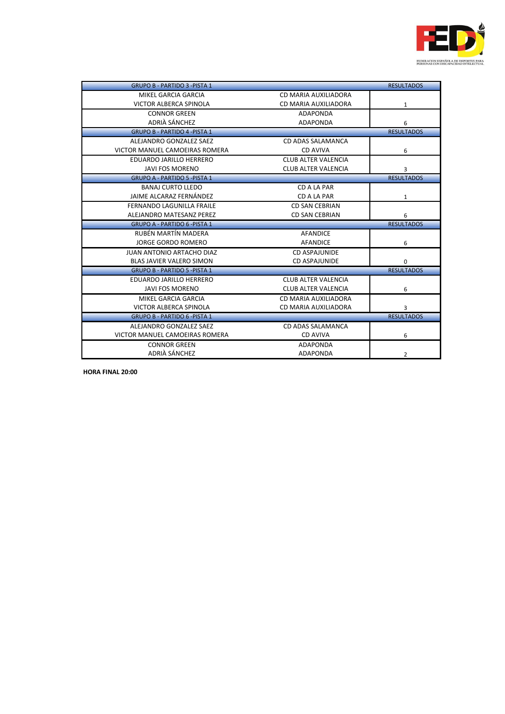

| <b>GRUPO B - PARTIDO 3 -PISTA 1</b>  |                            | <b>RESULTADOS</b> |
|--------------------------------------|----------------------------|-------------------|
| MIKEL GARCIA GARCIA                  | CD MARIA AUXILIADORA       |                   |
| <b>VICTOR ALBERCA SPINOLA</b>        | CD MARIA AUXILIADORA       | $\mathbf{1}$      |
| <b>CONNOR GREEN</b>                  | ADAPONDA                   |                   |
| ADRIÀ SÁNCHEZ                        | <b>ADAPONDA</b>            | 6                 |
| <b>GRUPO B - PARTIDO 4 -PISTA 1</b>  |                            | <b>RESULTADOS</b> |
| ALEJANDRO GONZALEZ SAEZ              | CD ADAS SALAMANCA          |                   |
| VICTOR MANUEL CAMOEIRAS ROMERA       | CD AVIVA                   | 6                 |
| EDUARDO JARILLO HERRERO              | <b>CLUB ALTER VALENCIA</b> |                   |
| <b>JAVI FOS MORENO</b>               | <b>CLUB ALTER VALENCIA</b> | 3                 |
| <b>GRUPO A - PARTIDO 5 -PISTA 1</b>  |                            | <b>RESULTADOS</b> |
| <b>BANAJ CURTO LLEDO</b>             | CD A LA PAR                |                   |
| JAIME ALCARAZ FERNÁNDEZ              | CD A LA PAR                | $\mathbf{1}$      |
| <b>FERNANDO LAGUNILLA FRAILE</b>     | CD SAN CEBRIAN             |                   |
| ALEJANDRO MATESANZ PEREZ             | <b>CD SAN CEBRIAN</b>      | 6                 |
| <b>GRUPO A - PARTIDO 6 -PISTA 1</b>  |                            | <b>RESULTADOS</b> |
| RUBÉN MARTÍN MADERA                  | <b>AFANDICE</b>            |                   |
| <b>JORGE GORDO ROMERO</b>            | AFANDICE                   | 6                 |
| <b>JUAN ANTONIO ARTACHO DIAZ</b>     | <b>CD ASPAJUNIDE</b>       |                   |
| <b>BLAS JAVIER VALERO SIMON</b>      | CD ASPAJUNIDE              | $\mathbf 0$       |
| <b>GRUPO B - PARTIDO 5 - PISTA 1</b> |                            | <b>RESULTADOS</b> |
| EDUARDO JARILLO HERRERO              | <b>CLUB ALTER VALENCIA</b> |                   |
| <b>JAVI FOS MORENO</b>               | CLUB ALTER VALENCIA        | 6                 |
| MIKEL GARCIA GARCIA                  | CD MARIA AUXILIADORA       |                   |
| <b>VICTOR ALBERCA SPINOLA</b>        | CD MARIA AUXILIADORA       | 3                 |
| <b>GRUPO B - PARTIDO 6 -PISTA 1</b>  |                            | <b>RESULTADOS</b> |
| ALEJANDRO GONZALEZ SAEZ              | CD ADAS SALAMANCA          |                   |
| VICTOR MANUEL CAMOEIRAS ROMERA       | CD AVIVA                   | 6                 |
| <b>CONNOR GREEN</b>                  | <b>ADAPONDA</b>            |                   |
| ADRIÀ SÁNCHEZ                        | <b>ADAPONDA</b>            | $\overline{2}$    |

**HORA FINAL 20:00**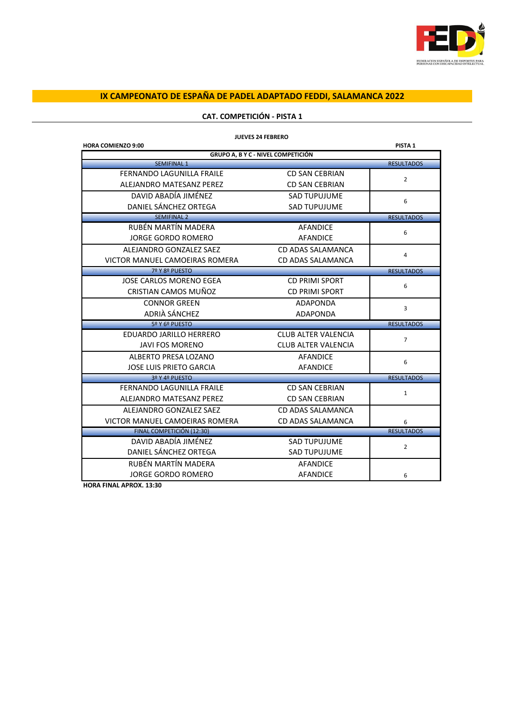

|                                  | <b>JUEVES 24 FEBRERO</b>                  |                    |
|----------------------------------|-------------------------------------------|--------------------|
| <b>HORA COMIENZO 9:00</b>        |                                           | PISTA <sub>1</sub> |
|                                  | <b>GRUPO A, B Y C - NIVEL COMPETICIÓN</b> |                    |
| <b>SEMIFINAL 1</b>               |                                           | <b>RESULTADOS</b>  |
| <b>FERNANDO LAGUNILLA FRAILE</b> | <b>CD SAN CEBRIAN</b>                     | $\overline{2}$     |
| ALEJANDRO MATESANZ PEREZ         | <b>CD SAN CEBRIAN</b>                     |                    |
| DAVID ABADÍA JIMÉNEZ             | <b>SAD TUPUJUME</b>                       | 6                  |
| DANIEL SÁNCHEZ ORTEGA            | <b>SAD TUPUJUME</b>                       |                    |
| <b>SEMIFINAL 2</b>               |                                           | <b>RESULTADOS</b>  |
| RUBÉN MARTÍN MADERA              | <b>AFANDICE</b>                           | 6                  |
| JORGE GORDO ROMERO               | <b>AFANDICE</b>                           |                    |
| ALEJANDRO GONZALEZ SAEZ          | CD ADAS SALAMANCA                         | 4                  |
| VICTOR MANUEL CAMOEIRAS ROMERA   | CD ADAS SALAMANCA                         |                    |
| 7º Y 8º PUESTO                   |                                           | <b>RESULTADOS</b>  |
| JOSE CARLOS MORENO EGEA          | <b>CD PRIMI SPORT</b>                     | 6                  |
| CRISTIAN CAMOS MUÑOZ             | <b>CD PRIMI SPORT</b>                     |                    |
| <b>CONNOR GREEN</b>              | <b>ADAPONDA</b>                           |                    |
| ADRIÀ SÁNCHEZ                    | <b>ADAPONDA</b>                           | 3                  |
| 5º Y 6º PUESTO                   |                                           | <b>RESULTADOS</b>  |
| EDUARDO JARILLO HERRERO          | <b>CLUB ALTER VALENCIA</b>                | $\overline{7}$     |
| <b>JAVI FOS MORENO</b>           | <b>CLUB ALTER VALENCIA</b>                |                    |
| ALBERTO PRESA LOZANO             | <b>AFANDICE</b>                           |                    |
| JOSE LUIS PRIETO GARCIA          | <b>AFANDICE</b>                           | 6                  |
| 3º Y 4º PUESTO                   |                                           | <b>RESULTADOS</b>  |
| <b>FERNANDO LAGUNILLA FRAILE</b> | <b>CD SAN CEBRIAN</b>                     |                    |
| ALEJANDRO MATESANZ PEREZ         | <b>CD SAN CEBRIAN</b>                     | $\mathbf{1}$       |
| ALEJANDRO GONZALEZ SAEZ          | CD ADAS SALAMANCA                         |                    |
| VICTOR MANUEL CAMOEIRAS ROMERA   | <b>CD ADAS SALAMANCA</b>                  | 6                  |
| FINAL COMPETICIÓN (12:30)        |                                           | <b>RESULTADOS</b>  |
| DAVID ABADÍA JIMÉNEZ             | <b>SAD TUPUJUME</b>                       |                    |
| DANIEL SÁNCHEZ ORTEGA            | <b>SAD TUPUJUME</b>                       | $\overline{2}$     |
| RUBÉN MARTÍN MADERA              | <b>AFANDICE</b>                           |                    |
| <b>JORGE GORDO ROMERO</b>        | <b>AFANDICE</b>                           | 6                  |

# **CAT. COMPETICIÓN - PISTA 1**

**HORA FINAL APROX. 13:30**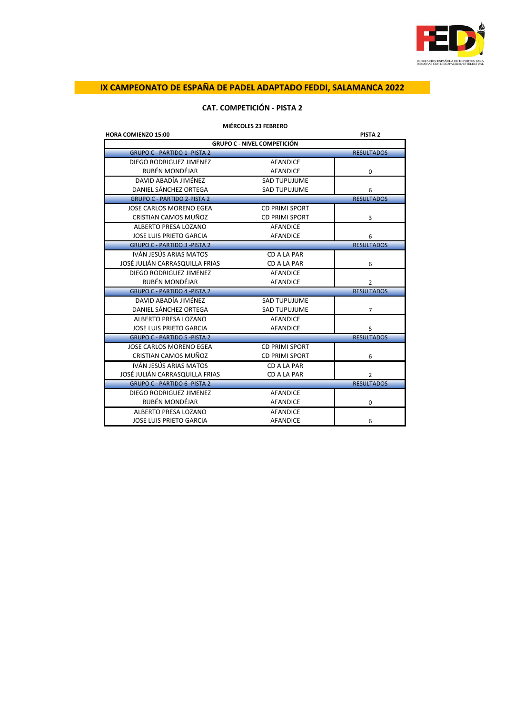

# **CAT. COMPETICIÓN - PISTA 2**

| <b>MIERCOLES 23 FEBRERO</b> |  |
|-----------------------------|--|
|-----------------------------|--|

| <b>HORA COMIENZO 15:00</b>           |                                    | PISTA <sub>2</sub> |
|--------------------------------------|------------------------------------|--------------------|
|                                      | <b>GRUPO C - NIVEL COMPETICIÓN</b> |                    |
| <b>GRUPO C - PARTIDO 1 - PISTA 2</b> |                                    | <b>RESULTADOS</b>  |
| DIEGO RODRIGUEZ JIMENEZ              | <b>AFANDICE</b>                    |                    |
| RUBÉN MONDÉJAR                       | <b>AFANDICE</b>                    | $\mathbf 0$        |
| DAVID ABADÍA JIMÉNEZ                 | <b>SAD TUPUJUME</b>                |                    |
| DANIEL SÁNCHEZ ORTEGA                | <b>SAD TUPUJUME</b>                | 6                  |
| <b>GRUPO C - PARTIDO 2-PISTA 2</b>   |                                    | <b>RESULTADOS</b>  |
| JOSE CARLOS MORENO EGEA              | <b>CD PRIMI SPORT</b>              |                    |
| CRISTIAN CAMOS MUÑOZ                 | <b>CD PRIMI SPORT</b>              | 3                  |
| ALBERTO PRESA LOZANO                 | <b>AFANDICE</b>                    |                    |
| <b>JOSE LUIS PRIETO GARCIA</b>       | <b>AFANDICE</b>                    | 6                  |
| <b>GRUPO C - PARTIDO 3 -PISTA 2</b>  |                                    | <b>RESULTADOS</b>  |
| IVÁN JESÚS ARIAS MATOS               | CD A LA PAR                        |                    |
| JOSÉ JULIÁN CARRASQUILLA FRIAS       | CD A LA PAR                        | 6                  |
| DIEGO RODRIGUEZ JIMENEZ              | <b>AFANDICE</b>                    |                    |
| RUBÉN MONDÉJAR                       | <b>AFANDICE</b>                    | $\overline{2}$     |
| <b>GRUPO C - PARTIDO 4 -PISTA 2</b>  |                                    | <b>RESULTADOS</b>  |
| DAVID ABADÍA JIMÉNEZ                 | <b>SAD TUPUJUME</b>                |                    |
| DANIEL SÁNCHEZ ORTEGA                | <b>SAD TUPUJUME</b>                | $\overline{7}$     |
| ALBERTO PRESA LOZANO                 | <b>AFANDICE</b>                    |                    |
| <b>JOSE LUIS PRIETO GARCIA</b>       | <b>AFANDICE</b>                    | 5                  |
| <b>GRUPO C - PARTIDO 5 -PISTA 2</b>  |                                    | <b>RESULTADOS</b>  |
| JOSE CARLOS MORENO EGEA              | <b>CD PRIMI SPORT</b>              |                    |
| CRISTIAN CAMOS MUÑOZ                 | <b>CD PRIMI SPORT</b>              | 6                  |
| IVÁN JESÚS ARIAS MATOS               | CD A LA PAR                        |                    |
| JOSÉ JULIÁN CARRASQUILLA FRIAS       | CD A LA PAR                        | 2                  |
| <b>GRUPO C - PARTIDO 6 -PISTA 2</b>  |                                    | <b>RESULTADOS</b>  |
| DIEGO RODRIGUEZ JIMENEZ              | <b>AFANDICE</b>                    |                    |
| RUBÉN MONDÉJAR                       | <b>AFANDICE</b>                    | 0                  |
| ALBERTO PRESA LOZANO                 | <b>AFANDICE</b>                    |                    |
| <b>JOSE LUIS PRIETO GARCIA</b>       | <b>AFANDICE</b>                    | 6                  |
|                                      |                                    |                    |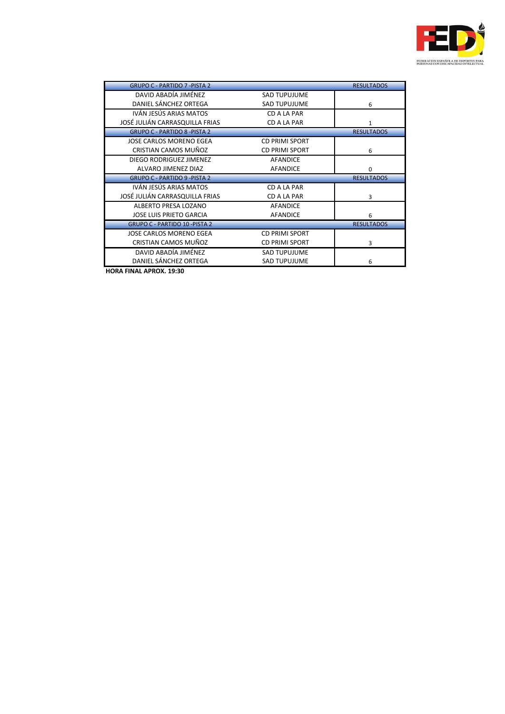

| <b>GRUPO C - PARTIDO 7 - PISTA 2</b> |                       | <b>RESULTADOS</b> |
|--------------------------------------|-----------------------|-------------------|
| DAVID ABADÍA JIMÉNEZ                 | SAD TUPUJUME          |                   |
| DANIEL SÁNCHEZ ORTEGA                | <b>SAD TUPUJUME</b>   | 6                 |
| IVÁN JESÚS ARIAS MATOS               | CD A LA PAR           |                   |
| JOSÉ JULIÁN CARRASQUILLA FRIAS       | CD A LA PAR           | 1                 |
| <b>GRUPO C - PARTIDO 8 -PISTA 2</b>  |                       | <b>RESULTADOS</b> |
| JOSE CARLOS MORENO EGEA              | <b>CD PRIMI SPORT</b> |                   |
| CRISTIAN CAMOS MUÑOZ                 | <b>CD PRIMI SPORT</b> | 6                 |
| DIEGO RODRIGUEZ JIMENEZ              | AFANDICE              |                   |
| ALVARO JIMENEZ DIAZ                  | <b>AFANDICE</b>       | 0                 |
| <b>GRUPO C - PARTIDO 9 - PISTA 2</b> |                       | <b>RESULTADOS</b> |
| IVÁN JESÚS ARIAS MATOS               | CD A LA PAR           |                   |
| JOSÉ JULIÁN CARRASQUILLA FRIAS       | CD A LA PAR           | 3                 |
| ALBERTO PRESA LOZANO                 | AFANDICE              |                   |
| <b>JOSE LUIS PRIETO GARCIA</b>       | <b>AFANDICE</b>       | 6                 |
| <b>GRUPO C - PARTIDO 10 -PISTA 2</b> |                       | <b>RESULTADOS</b> |
| JOSE CARLOS MORENO EGEA              | <b>CD PRIMI SPORT</b> |                   |
| CRISTIAN CAMOS MUÑOZ                 | CD PRIMI SPORT        | 3                 |
| DAVID ABADÍA JIMÉNEZ                 | <b>SAD TUPUJUME</b>   |                   |
| DANIEL SÁNCHEZ ORTEGA                | <b>SAD TUPUJUME</b>   | 6                 |

**HORA FINAL APROX. 19:30**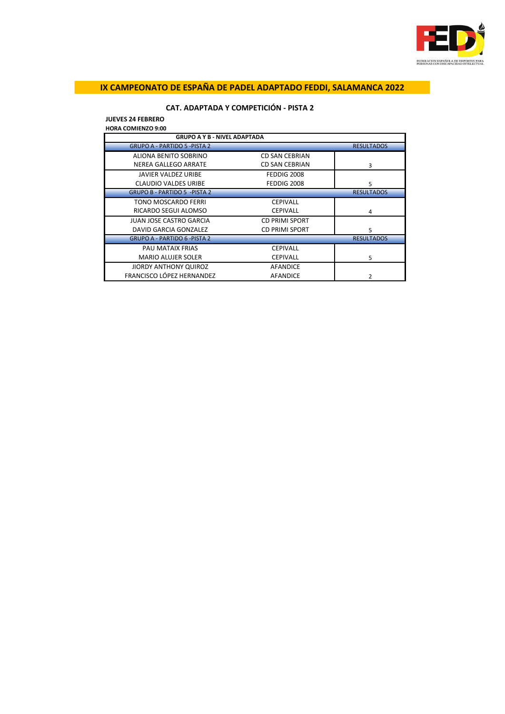

# **CAT. ADAPTADA Y COMPETICIÓN - PISTA 2**

**JUEVES 24 FEBRERO HORA COMIENZO 9:00**

| <b>GRUPO A Y B - NIVEL ADAPTADA</b>  |                       |                   |
|--------------------------------------|-----------------------|-------------------|
| <b>GRUPO A - PARTIDO 5 - PISTA 2</b> |                       | <b>RESULTADOS</b> |
| ALIONA BENITO SOBRINO                | <b>CD SAN CEBRIAN</b> |                   |
| <b>NEREA GALLEGO ARRATE</b>          | <b>CD SAN CEBRIAN</b> | 3                 |
| <b>JAVIER VALDEZ URIBE</b>           | FEDDIG 2008           |                   |
| <b>CLAUDIO VALDES URIBE</b>          | FEDDIG 2008           | 5                 |
| <b>GRUPO B - PARTIDO 5 - PISTA 2</b> |                       | <b>RESULTADOS</b> |
| <b>TONO MOSCARDO FERRI</b>           | <b>CEPIVALL</b>       |                   |
| RICARDO SEGUI ALOMSO                 | <b>CEPIVALL</b>       | 4                 |
| <b>JUAN JOSE CASTRO GARCIA</b>       | <b>CD PRIMI SPORT</b> |                   |
| DAVID GARCIA GONZALEZ                | <b>CD PRIMI SPORT</b> | 5                 |
| <b>GRUPO A - PARTIDO 6 -PISTA 2</b>  |                       | <b>RESULTADOS</b> |
| <b>PAU MATAIX FRIAS</b>              | <b>CEPIVALL</b>       |                   |
| <b>MARIO ALUJER SOLER</b>            | <b>CEPIVALL</b>       | 5                 |
| JIORDY ANTHONY QUIROZ                | <b>AFANDICE</b>       |                   |
| FRANCISCO LÓPEZ HERNANDEZ            | <b>AFANDICE</b>       |                   |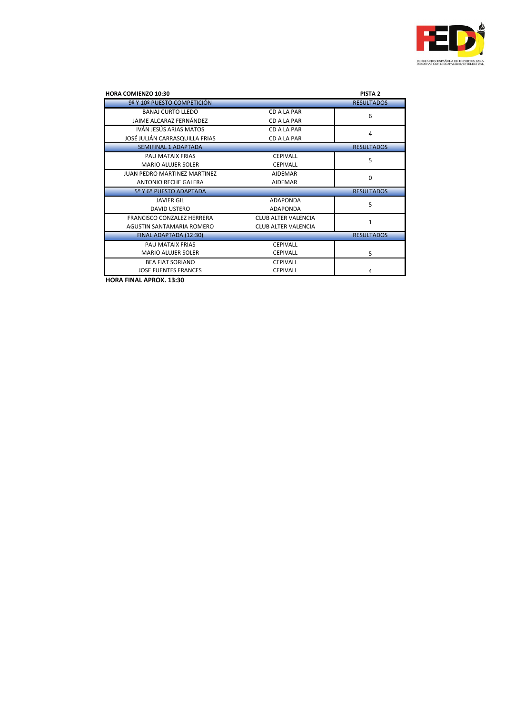

| <b>HORA COMIENZO 10:30</b>          |                            | <b>PISTA 2</b>    |
|-------------------------------------|----------------------------|-------------------|
| 9º Y 10º PUESTO COMPETICIÓN         |                            | <b>RESULTADOS</b> |
| <b>BANAJ CURTO LLEDO</b>            | CD A LA PAR                | 6                 |
| JAIME ALCARAZ FERNÁNDEZ             | CD A LA PAR                |                   |
| IVÁN JESÚS ARIAS MATOS              | CD A LA PAR                | 4                 |
| JOSÉ JULIÁN CARRASQUILLA FRIAS      | CD A LA PAR                |                   |
| <b>SEMIFINAL 1 ADAPTADA</b>         |                            | <b>RESULTADOS</b> |
| PAU MATAIX FRIAS                    | <b>CEPIVALL</b>            | 5                 |
| <b>MARIO ALUJER SOLER</b>           | <b>CEPIVALL</b>            |                   |
| <b>JUAN PEDRO MARTINEZ MARTINEZ</b> | <b>AIDEMAR</b>             | 0                 |
| <b>ANTONIO RECHE GALERA</b>         | <b>AIDEMAR</b>             |                   |
| 5º Y 6º PUESTO ADAPTADA             |                            | <b>RESULTADOS</b> |
| <b>JAVIER GIL</b>                   | <b>ADAPONDA</b>            | 5                 |
| <b>DAVID USTERO</b>                 | <b>ADAPONDA</b>            |                   |
| <b>FRANCISCO CONZALEZ HERRERA</b>   | CLUB ALTER VALENCIA        | $\mathbf{1}$      |
| AGUSTIN SANTAMARIA ROMERO           | <b>CLUB ALTER VALENCIA</b> |                   |
| FINAL ADAPTADA (12:30)              |                            | <b>RESULTADOS</b> |
| PAU MATAIX FRIAS                    | <b>CEPIVALL</b>            |                   |
| <b>MARIO ALUJER SOLER</b>           | <b>CEPIVALL</b>            | 5                 |
| <b>BEA FIAT SORIANO</b>             | <b>CEPIVALL</b>            |                   |
| <b>JOSE FUENTES FRANCES</b>         | <b>CEPIVALL</b>            | 4                 |

**HORA FINAL APROX. 13:30**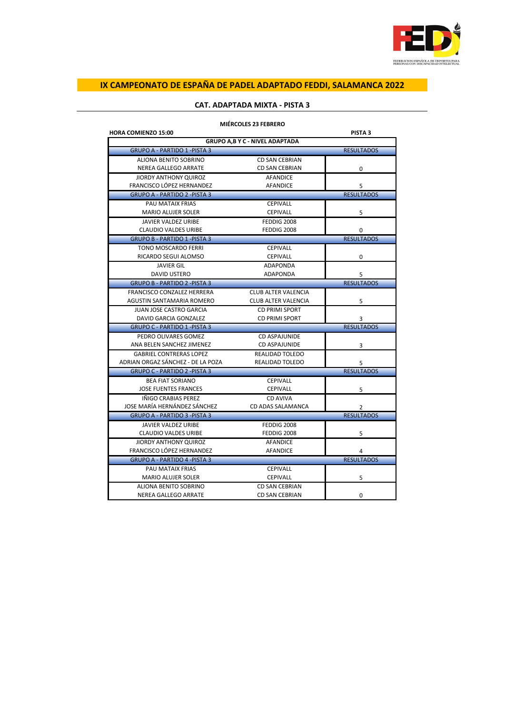

| <b>MIERCOLES 23 FEBRERO</b>           |                            |                    |
|---------------------------------------|----------------------------|--------------------|
| <b>HORA COMIENZO 15:00</b>            |                            | PISTA <sub>3</sub> |
| <b>GRUPO A,B Y C - NIVEL ADAPTADA</b> |                            |                    |
| <b>GRUPO A - PARTIDO 1 - PISTA 3</b>  |                            | <b>RESULTADOS</b>  |
| ALIONA BENITO SOBRINO                 | <b>CD SAN CEBRIAN</b>      |                    |
| NEREA GALLEGO ARRATE                  | <b>CD SAN CEBRIAN</b>      | 0                  |
| <b>JIORDY ANTHONY QUIROZ</b>          | <b>AFANDICE</b>            |                    |
| <b>FRANCISCO LÓPEZ HERNANDEZ</b>      | <b>AFANDICE</b>            | 5                  |
| <b>GRUPO A - PARTIDO 2 - PISTA 3</b>  |                            | <b>RESULTADOS</b>  |
| PAU MATAIX FRIAS                      | <b>CEPIVALL</b>            |                    |
| <b>MARIO ALUJER SOLER</b>             | <b>CEPIVALL</b>            | 5                  |
| <b>JAVIER VALDEZ URIBE</b>            | FEDDIG 2008                |                    |
| <b>CLAUDIO VALDES URIBE</b>           | FEDDIG 2008                | 0                  |
| <b>GRUPO B - PARTIDO 1 - PISTA 3</b>  |                            | <b>RESULTADOS</b>  |
| TONO MOSCARDO FERRI                   | <b>CEPIVALL</b>            |                    |
| RICARDO SEGUI ALOMSO                  | <b>CEPIVALL</b>            | 0                  |
| <b>JAVIER GIL</b>                     | <b>ADAPONDA</b>            |                    |
| DAVID USTERO                          | <b>ADAPONDA</b>            | 5                  |
| <b>GRUPO B - PARTIDO 2 - PISTA 3</b>  |                            | <b>RESULTADOS</b>  |
| <b>FRANCISCO CONZALEZ HERRERA</b>     | <b>CLUB ALTER VALENCIA</b> |                    |
| AGUSTIN SANTAMARIA ROMERO             | <b>CLUB ALTER VALENCIA</b> | 5                  |
| <b>JUAN JOSE CASTRO GARCIA</b>        | <b>CD PRIMI SPORT</b>      |                    |
| DAVID GARCIA GONZALEZ                 | CD PRIMI SPORT             | 3                  |
| <b>GRUPO C - PARTIDO 1 -PISTA 3</b>   |                            | <b>RESULTADOS</b>  |
| PEDRO OLIVARES GOMEZ                  | <b>CD ASPAJUNIDE</b>       |                    |
| ANA BELEN SANCHEZ JIMENEZ             | <b>CD ASPAJUNIDE</b>       | 3                  |
| <b>GABRIEL CONTRERAS LOPEZ</b>        | <b>REALIDAD TOLEDO</b>     |                    |
| ADRIAN ORGAZ SÁNCHEZ - DE LA POZA     | REALIDAD TOLEDO            | 5                  |
| <b>GRUPO C - PARTIDO 2 - PISTA 3</b>  |                            | <b>RESULTADOS</b>  |
| <b>BEA FIAT SORIANO</b>               | <b>CEPIVALL</b>            |                    |
| <b>JOSE FUENTES FRANCES</b>           | <b>CEPIVALL</b>            | 5                  |
| IÑIGO CRABIAS PEREZ                   | CD AVIVA                   |                    |
| JOSE MARÍA HERNÁNDEZ SÁNCHEZ          | CD ADAS SALAMANCA          | 2                  |
| <b>GRUPO A - PARTIDO 3 - PISTA 3</b>  |                            | <b>RESULTADOS</b>  |
| <b>JAVIER VALDEZ URIBE</b>            | FEDDIG 2008                |                    |
| <b>CLAUDIO VALDES URIBE</b>           | FEDDIG 2008                | 5                  |
| <b>JIORDY ANTHONY QUIROZ</b>          | <b>AFANDICE</b>            |                    |
| FRANCISCO LÓPEZ HERNANDEZ             | <b>AFANDICE</b>            | 4                  |
| <b>GRUPO A - PARTIDO 4 - PISTA 3</b>  |                            | <b>RESULTADOS</b>  |
| PAU MATAIX FRIAS                      | <b>CEPIVALL</b>            |                    |
| <b>MARIO ALUJER SOLER</b>             | <b>CEPIVALL</b>            | 5                  |
| ALIONA BENITO SOBRINO                 | <b>CD SAN CEBRIAN</b>      |                    |
| <b>NEREA GALLEGO ARRATE</b>           | <b>CD SAN CEBRIAN</b>      | 0                  |
|                                       |                            |                    |

# **CAT. ADAPTADA MIXTA - PISTA 3**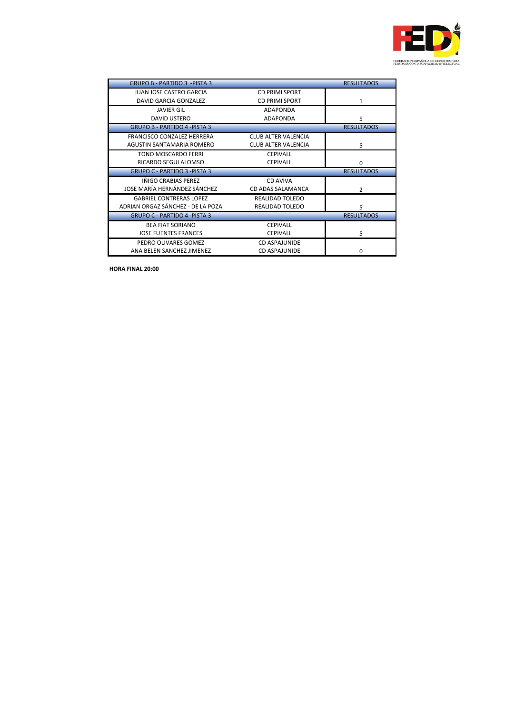

| <b>GRUPO B - PARTIDO 3 - PISTA 3</b> |                            | <b>RESULTADOS</b> |
|--------------------------------------|----------------------------|-------------------|
| <b>JUAN JOSE CASTRO GARCIA</b>       | <b>CD PRIMI SPORT</b>      |                   |
| DAVID GARCIA GONZALEZ                | <b>CD PRIMI SPORT</b>      | 1                 |
| <b>JAVIER GIL</b>                    | <b>ADAPONDA</b>            |                   |
| <b>DAVID USTERO</b>                  | <b>ADAPONDA</b>            | 5                 |
| <b>GRUPO B - PARTIDO 4 - PISTA 3</b> |                            | <b>RESULTADOS</b> |
| <b>FRANCISCO CONZALEZ HERRERA</b>    | <b>CLUB ALTER VALENCIA</b> |                   |
| AGUSTIN SANTAMARIA ROMERO            | <b>CLUB ALTER VALENCIA</b> | 5                 |
| <b>TONO MOSCARDO FERRI</b>           | <b>CEPIVALL</b>            |                   |
| RICARDO SEGUI ALOMSO                 | <b>CEPIVALL</b>            | 0                 |
| <b>GRUPO C - PARTIDO 3 - PISTA 3</b> |                            | <b>RESULTADOS</b> |
|                                      |                            |                   |
| IÑIGO CRABIAS PEREZ                  | CD AVIVA                   |                   |
| JOSE MARÍA HERNÁNDEZ SÁNCHEZ         | CD ADAS SALAMANCA          | 2                 |
| <b>GABRIEL CONTRERAS LOPEZ</b>       | <b>REALIDAD TOLEDO</b>     |                   |
| ADRIAN ORGAZ SÁNCHEZ - DE LA POZA    | <b>REALIDAD TOLEDO</b>     | 5                 |
| <b>GRUPO C - PARTIDO 4 - PISTA 3</b> |                            | <b>RESULTADOS</b> |
| <b>BEA FIAT SORIANO</b>              | <b>CEPIVALL</b>            |                   |
| <b>JOSE FUENTES FRANCES</b>          | <b>CEPIVALL</b>            | 5                 |
| PEDRO OLIVARES GOMEZ                 | <b>CD ASPAJUNIDE</b>       |                   |

**HORA FINAL 20:00**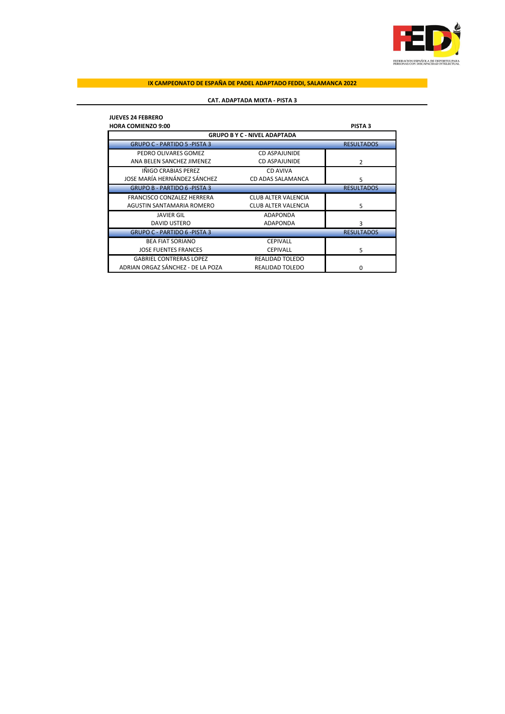

# **CAT. ADAPTADA MIXTA - PISTA 3**

| <b>JUEVES 24 FEBRERO</b>            |                            |                   |
|-------------------------------------|----------------------------|-------------------|
| <b>HORA COMIENZO 9:00</b>           |                            | <b>PISTA 3</b>    |
| <b>GRUPO B Y C - NIVEL ADAPTADA</b> |                            |                   |
| <b>GRUPO C - PARTIDO 5 -PISTA 3</b> |                            | <b>RESULTADOS</b> |
| PEDRO OLIVARES GOMEZ                | CD ASPAJUNIDE              |                   |
| ANA BELEN SANCHEZ JIMENEZ           | <b>CD ASPAJUNIDE</b>       | 2                 |
| IÑIGO CRABIAS PEREZ                 | CD AVIVA                   |                   |
| JOSE MARÍA HERNÁNDEZ SÁNCHEZ        | CD ADAS SALAMANCA          | 5                 |
| <b>GRUPO B - PARTIDO 6 -PISTA 3</b> |                            | <b>RESULTADOS</b> |
| <b>FRANCISCO CONZALEZ HERRERA</b>   | CLUB ALTER VALENCIA        |                   |
| AGUSTIN SANTAMARIA ROMERO           | <b>CLUB ALTER VALENCIA</b> | 5                 |
| <b>JAVIER GIL</b>                   | <b>ADAPONDA</b>            |                   |
| <b>DAVID USTERO</b>                 | <b>ADAPONDA</b>            | 3                 |
| <b>GRUPO C - PARTIDO 6 -PISTA 3</b> |                            | <b>RESULTADOS</b> |
| <b>BEA FIAT SORIANO</b>             | <b>CEPIVALL</b>            |                   |
| <b>JOSE FUENTES FRANCES</b>         | <b>CEPIVALL</b>            | 5                 |
| <b>GABRIEL CONTRERAS LOPEZ</b>      | <b>REALIDAD TOLEDO</b>     |                   |
| ADRIAN ORGAZ SÁNCHEZ - DE LA POZA   | REALIDAD TOLEDO            | 0                 |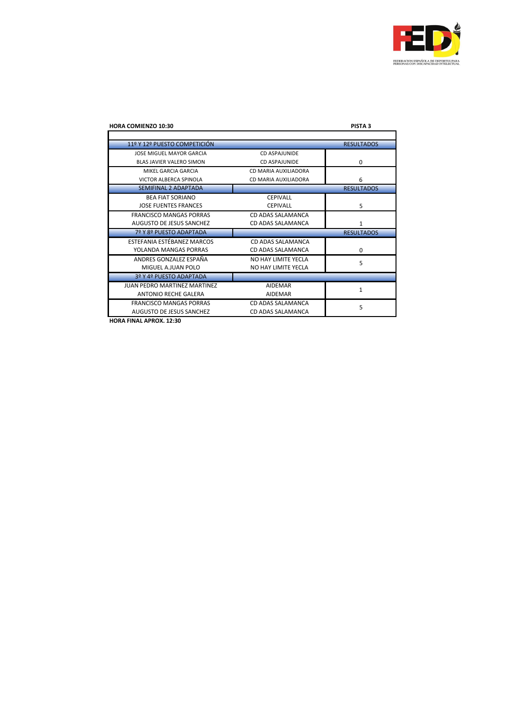

| <b>HORA COMIENZO 10:30</b>          |                      | PISTA <sub>3</sub> |
|-------------------------------------|----------------------|--------------------|
|                                     |                      |                    |
| 11º Y 12º PUESTO COMPETICIÓN        |                      | <b>RESULTADOS</b>  |
| JOSE MIGUEL MAYOR GARCIA            | CD ASPAIUNIDE        |                    |
| <b>BLAS JAVIER VALERO SIMON</b>     | CD ASPAIUNIDE        | 0                  |
| MIKEL GARCIA GARCIA                 | CD MARIA AUXILIADORA |                    |
| VICTOR ALBERCA SPINOLA              | CD MARIA AUXILIADORA | 6                  |
| <b>SEMIFINAL 2 ADAPTADA</b>         |                      | <b>RESULTADOS</b>  |
| <b>BEA FIAT SORIANO</b>             | <b>CEPIVALL</b>      |                    |
| <b>JOSE FUENTES FRANCES</b>         | <b>CEPIVALL</b>      | 5                  |
| <b>FRANCISCO MANGAS PORRAS</b>      | CD ADAS SALAMANCA    |                    |
| AUGUSTO DE JESUS SANCHEZ            | CD ADAS SALAMANCA    | 1                  |
| 7º Y 8º PUESTO ADAPTADA             |                      | <b>RESULTADOS</b>  |
| ESTEFANIA ESTÉBANEZ MARCOS          | CD ADAS SALAMANCA    |                    |
| YOLANDA MANGAS PORRAS               | CD ADAS SALAMANCA    | $\Omega$           |
| ANDRES GONZALEZ ESPAÑA              | NO HAY LIMITE YECLA  | 5                  |
| MIGUEL A.JUAN POLO                  | NO HAY LIMITE YECLA  |                    |
| 3º Y 4º PUESTO ADAPTADA             |                      |                    |
| <b>JUAN PEDRO MARTINEZ MARTINEZ</b> | AIDEMAR              | $\mathbf{1}$       |
| <b>ANTONIO RECHE GALERA</b>         | <b>AIDEMAR</b>       |                    |
| <b>FRANCISCO MANGAS PORRAS</b>      | CD ADAS SALAMANCA    | 5                  |
| <b>AUGUSTO DE JESUS SANCHEZ</b>     | CD ADAS SALAMANCA    |                    |

**HORA FINAL APROX. 12:30**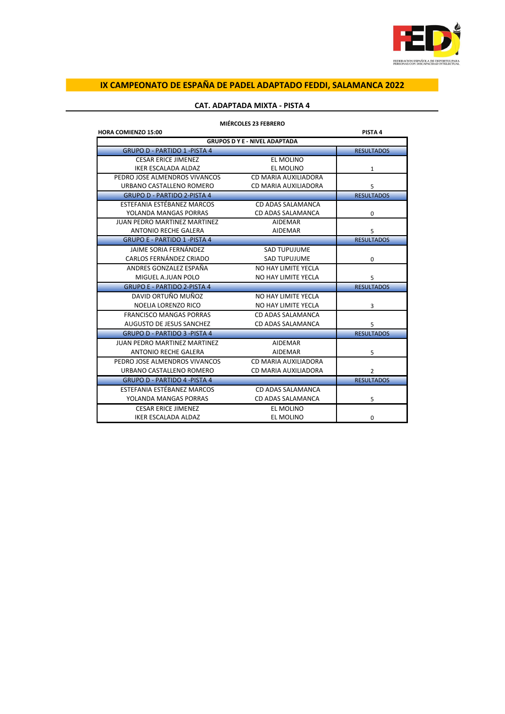

# **CAT. ADAPTADA MIXTA - PISTA 4**

| <b>HORA COMIENZO 15:00</b>          |                                      | PISTA 4           |
|-------------------------------------|--------------------------------------|-------------------|
|                                     | <b>GRUPOS D Y E - NIVEL ADAPTADA</b> |                   |
| <b>GRUPO D - PARTIDO 1 -PISTA 4</b> |                                      | <b>RESULTADOS</b> |
| <b>CESAR ERICE JIMENEZ</b>          | EL MOLINO                            |                   |
| <b>IKER ESCALADA ALDAZ</b>          | EL MOLINO                            | 1                 |
| PEDRO JOSE ALMENDROS VIVANCOS       | CD MARIA AUXILIADORA                 |                   |
| URBANO CASTALLENO ROMERO            | CD MARIA AUXILIADORA                 | 5                 |
| <b>GRUPO D - PARTIDO 2-PISTA 4</b>  |                                      | <b>RESULTADOS</b> |
| ESTEFANIA ESTÉBANEZ MARCOS          | CD ADAS SALAMANCA                    |                   |
| YOLANDA MANGAS PORRAS               | CD ADAS SALAMANCA                    | 0                 |
| <b>JUAN PEDRO MARTINEZ MARTINEZ</b> | <b>AIDEMAR</b>                       |                   |
| <b>ANTONIO RECHE GALERA</b>         | <b>AIDEMAR</b>                       | 5                 |
| <b>GRUPO E - PARTIDO 1 -PISTA 4</b> |                                      | <b>RESULTADOS</b> |
| JAIME SORIA FERNÁNDEZ               | <b>SAD TUPUJUME</b>                  |                   |
| CARLOS FERNÁNDEZ CRIADO             | <b>SAD TUPUJUME</b>                  | $\mathbf 0$       |
| ANDRES GONZALEZ ESPAÑA              | NO HAY LIMITE YECLA                  |                   |
| MIGUEL A.JUAN POLO                  | NO HAY LIMITE YECLA                  | 5                 |
| <b>GRUPO E - PARTIDO 2-PISTA 4</b>  |                                      | <b>RESULTADOS</b> |
| DAVID ORTUÑO MUÑOZ                  | NO HAY LIMITE YECLA                  |                   |
| NOELIA LORENZO RICO                 | NO HAY LIMITE YECLA                  | 3                 |
| <b>FRANCISCO MANGAS PORRAS</b>      | CD ADAS SALAMANCA                    |                   |
| AUGUSTO DE JESUS SANCHEZ            | CD ADAS SALAMANCA                    | 5                 |
| <b>GRUPO D - PARTIDO 3 -PISTA 4</b> |                                      | <b>RESULTADOS</b> |
| <b>JUAN PEDRO MARTINEZ MARTINEZ</b> | <b>AIDEMAR</b>                       |                   |
| ANTONIO RECHE GALERA                | <b>AIDEMAR</b>                       | 5                 |
| PEDRO JOSE ALMENDROS VIVANCOS       | CD MARIA AUXILIADORA                 |                   |
| URBANO CASTALLENO ROMERO            | CD MARIA AUXILIADORA                 | 2                 |
| <b>GRUPO D - PARTIDO 4 -PISTA 4</b> |                                      | <b>RESULTADOS</b> |
| ESTEFANIA ESTÉBANEZ MARCOS          | CD ADAS SALAMANCA                    |                   |
| YOLANDA MANGAS PORRAS               | CD ADAS SALAMANCA                    | 5                 |
| <b>CESAR ERICE JIMENEZ</b>          | EL MOLINO                            |                   |
| <b>IKER ESCALADA ALDAZ</b>          | EL MOLINO                            | 0                 |

### **MIÉRCOLES 23 FEBRERO**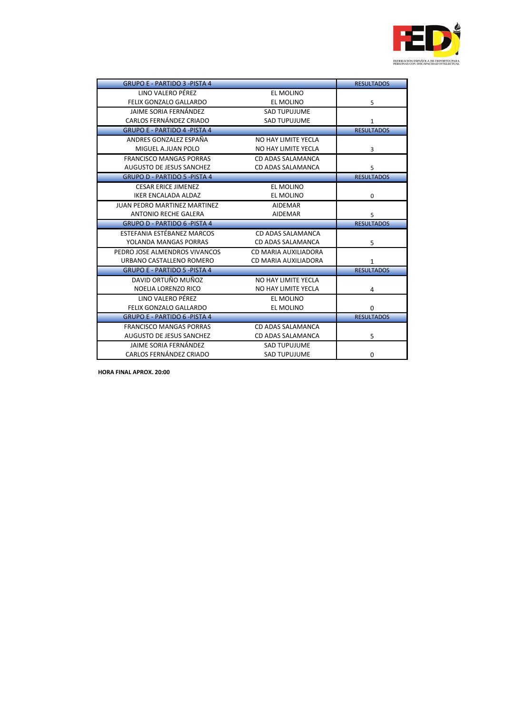

| <b>GRUPO E - PARTIDO 3 -PISTA 4</b>  |                      | <b>RESULTADOS</b> |
|--------------------------------------|----------------------|-------------------|
| LINO VALERO PÉREZ                    | <b>EL MOLINO</b>     |                   |
| <b>FELIX GONZALO GALLARDO</b>        | EL MOLINO            | 5                 |
| JAIME SORIA FERNÁNDEZ                | <b>SAD TUPUJUME</b>  |                   |
| CARLOS FERNÁNDEZ CRIADO              | <b>SAD TUPUJUME</b>  | 1                 |
| <b>GRUPO E - PARTIDO 4 -PISTA 4</b>  |                      | <b>RESULTADOS</b> |
| ANDRES GONZALEZ ESPAÑA               | NO HAY LIMITE YECLA  |                   |
| MIGUEL A.JUAN POLO                   | NO HAY LIMITE YECLA  | 3                 |
| <b>FRANCISCO MANGAS PORRAS</b>       | CD ADAS SALAMANCA    |                   |
| AUGUSTO DE JESUS SANCHEZ             | CD ADAS SALAMANCA    | 5                 |
| <b>GRUPO D - PARTIDO 5 -PISTA 4</b>  |                      | <b>RESULTADOS</b> |
| <b>CESAR ERICE JIMENEZ</b>           | <b>EL MOLINO</b>     |                   |
| IKER ENCALADA ALDAZ                  | EL MOLINO            | 0                 |
| <b>JUAN PEDRO MARTINEZ MARTINEZ</b>  | <b>AIDEMAR</b>       |                   |
| <b>ANTONIO RECHE GALERA</b>          | <b>AIDEMAR</b>       | 5                 |
| <b>GRUPO D - PARTIDO 6 -PISTA 4</b>  |                      | <b>RESULTADOS</b> |
| ESTEFANIA ESTÉBANEZ MARCOS           | CD ADAS SALAMANCA    |                   |
| YOLANDA MANGAS PORRAS                | CD ADAS SALAMANCA    | 5                 |
| PEDRO JOSE ALMENDROS VIVANCOS        | CD MARIA AUXILIADORA |                   |
| URBANO CASTALLENO ROMERO             | CD MARIA AUXILIADORA | $\mathbf{1}$      |
| <b>GRUPO E - PARTIDO 5 - PISTA 4</b> |                      | <b>RESULTADOS</b> |
| DAVID ORTUÑO MUÑOZ                   | NO HAY LIMITE YECLA  |                   |
| NOELIA LORENZO RICO                  | NO HAY LIMITE YECLA  | 4                 |
| LINO VALERO PÉREZ                    | <b>EL MOLINO</b>     |                   |
| FELIX GONZALO GALLARDO               | EL MOLINO            | $\Omega$          |
| <b>GRUPO E - PARTIDO 6 -PISTA 4</b>  |                      | <b>RESULTADOS</b> |
| <b>FRANCISCO MANGAS PORRAS</b>       | CD ADAS SALAMANCA    |                   |
| <b>AUGUSTO DE JESUS SANCHEZ</b>      | CD ADAS SALAMANCA    | 5                 |
| <b>JAIME SORIA FERNÁNDEZ</b>         | <b>SAD TUPUJUME</b>  |                   |
| CARLOS FERNÁNDEZ CRIADO              | <b>SAD TUPUJUME</b>  | $\mathbf 0$       |

**HORA FINAL APROX. 20:00**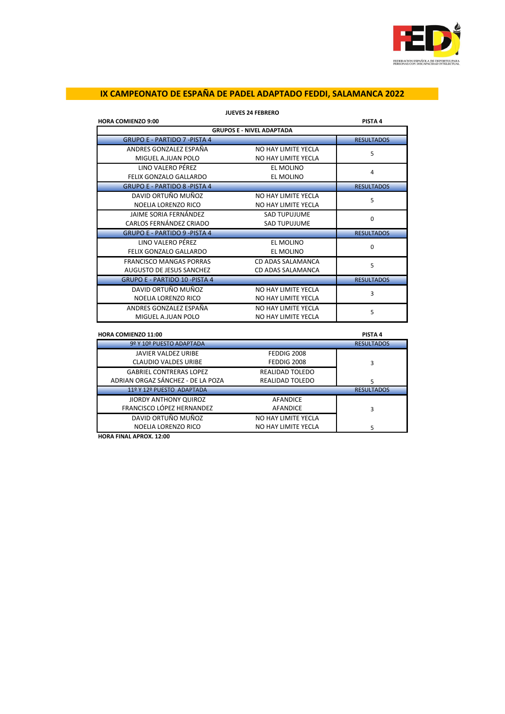

| <b>HORA COMIENZO 9:00</b>            |                     | PISTA 4           |
|--------------------------------------|---------------------|-------------------|
| <b>GRUPOS E - NIVEL ADAPTADA</b>     |                     |                   |
| <b>GRUPO E - PARTIDO 7 - PISTA 4</b> |                     | <b>RESULTADOS</b> |
| ANDRES GONZALEZ ESPAÑA               | NO HAY LIMITE YECLA | 5                 |
| MIGUEL A.JUAN POLO                   | NO HAY LIMITE YECLA |                   |
| LINO VALERO PÉREZ                    | EL MOLINO           | 4                 |
| FELIX GONZALO GALLARDO               | EL MOLINO           |                   |
| <b>GRUPO E - PARTIDO 8 -PISTA 4</b>  |                     | <b>RESULTADOS</b> |
| DAVID ORTUÑO MUÑOZ                   | NO HAY LIMITE YECLA | 5                 |
| NOELIA LORENZO RICO                  | NO HAY LIMITE YECLA |                   |
| JAIME SORIA FERNÁNDEZ                | <b>SAD TUPUJUME</b> | $\Omega$          |
| CARLOS FERNÁNDEZ CRIADO              | <b>SAD TUPUJUME</b> |                   |
| <b>GRUPO E - PARTIDO 9 -PISTA 4</b>  |                     | <b>RESULTADOS</b> |
| LINO VALERO PÉREZ                    | EL MOLINO           | 0                 |
| FELIX GONZALO GALLARDO               | EL MOLINO           |                   |
| <b>FRANCISCO MANGAS PORRAS</b>       | CD ADAS SALAMANCA   | 5                 |
| AUGUSTO DE JESUS SANCHEZ             | CD ADAS SALAMANCA   |                   |
| <b>GRUPO E - PARTIDO 10 -PISTA 4</b> |                     | <b>RESULTADOS</b> |
| DAVID ORTUÑO MUÑOZ                   | NO HAY LIMITE YECLA | 3                 |
| NOELIA LORENZO RICO                  | NO HAY LIMITE YECLA |                   |
| ANDRES GONZALEZ ESPAÑA               | NO HAY LIMITE YECLA | 5                 |
| MIGUEL A.JUAN POLO                   | NO HAY LIMITE YECLA |                   |

# **JUEVES 24 FEBRERO**

| <b>HORA COMIENZO 11:00</b>        |                     | PISTA 4           |
|-----------------------------------|---------------------|-------------------|
| 9º Y 10º PUESTO ADAPTADA          |                     | <b>RESULTADOS</b> |
| <b>JAVIER VALDEZ URIBE</b>        | <b>FEDDIG 2008</b>  |                   |
| <b>CLAUDIO VALDES URIBE</b>       | FEDDIG 2008         | 3                 |
| <b>GABRIEL CONTRERAS LOPEZ</b>    | REALIDAD TOLEDO     |                   |
| ADRIAN ORGAZ SÁNCHEZ - DE LA POZA | REALIDAD TOLEDO     | 5                 |
| 11º Y 12º PUESTO ADAPTADA         |                     | <b>RESULTADOS</b> |
| JIORDY ANTHONY QUIROZ             | AFANDICE            |                   |
| FRANCISCO LÓPEZ HERNANDEZ         | AFANDICE            | 3                 |
| DAVID ORTUÑO MUÑOZ                | NO HAY LIMITE YECLA |                   |
| NOELIA LORENZO RICO               | NO HAY LIMITE YECLA | 5                 |

**HORA FINAL APROX. 12:00**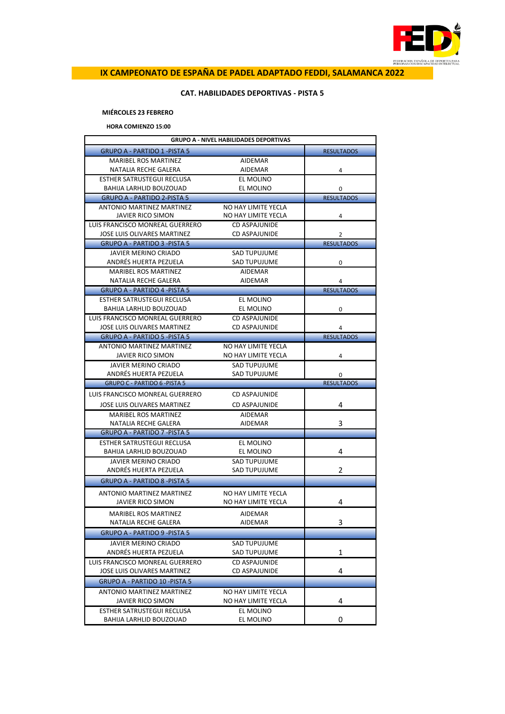

# **CAT. HABILIDADES DEPORTIVAS - PISTA 5**

# **MIÉRCOLES 23 FEBRERO**

**HORA COMIENZO 15:00**

| <b>GRUPO A - NIVEL HABILIDADES DEPORTIVAS</b> |                      |                   |  |
|-----------------------------------------------|----------------------|-------------------|--|
| <b>GRUPO A - PARTIDO 1 - PISTA 5</b>          |                      | <b>RESULTADOS</b> |  |
| <b>MARIBEL ROS MARTINEZ</b>                   | AIDEMAR              |                   |  |
| NATALIA RECHE GALERA                          | AIDEMAR              | 4                 |  |
| <b>ESTHER SATRUSTEGUI RECLUSA</b>             | EL MOLINO            |                   |  |
| BAHIJA LARHLID BOUZOUAD                       | EL MOLINO            | 0                 |  |
| <b>GRUPO A - PARTIDO 2-PISTA 5</b>            |                      | <b>RESULTADOS</b> |  |
| <b>ANTONIO MARTINEZ MARTINEZ</b>              | NO HAY LIMITE YECLA  |                   |  |
| JAVIER RICO SIMON                             | NO HAY LIMITE YECLA  | 4                 |  |
| LUIS FRANCISCO MONREAL GUERRERO               | CD ASPAJUNIDE        |                   |  |
| JOSE LUIS OLIVARES MARTINEZ                   | CD ASPAJUNIDE        | 2                 |  |
| <b>GRUPO A - PARTIDO 3 -PISTA 5</b>           |                      | <b>RESULTADOS</b> |  |
| JAVIER MERINO CRIADO                          | SAD TUPUJUME         |                   |  |
| ANDRÉS HUERTA PEZUELA                         | SAD TUPUJUME         | 0                 |  |
| <b>MARIBEL ROS MARTINEZ</b>                   | AIDEMAR              |                   |  |
| NATALIA RECHE GALERA                          | AIDEMAR              | 4                 |  |
| <b>GRUPO A - PARTIDO 4 -PISTA 5</b>           |                      | <b>RESULTADOS</b> |  |
| ESTHER SATRUSTEGUI RECLUSA                    | EL MOLINO            |                   |  |
| BAHIJA LARHLID BOUZOUAD                       | EL MOLINO            | 0                 |  |
| LUIS FRANCISCO MONREAL GUERRERO               | CD ASPAJUNIDE        |                   |  |
| JOSE LUIS OLIVARES MARTINEZ                   | CD ASPAJUNIDE        | 4                 |  |
| <b>GRUPO A - PARTIDO 5 - PISTA 5</b>          |                      | <b>RESULTADOS</b> |  |
| ANTONIO MARTINEZ MARTINEZ                     | NO HAY LIMITE YECLA  |                   |  |
| JAVIER RICO SIMON                             | NO HAY LIMITE YECLA  | 4                 |  |
| JAVIER MERINO CRIADO                          | <b>SAD TUPUJUME</b>  |                   |  |
| ANDRÉS HUERTA PEZUELA                         | <b>SAD TUPUJUME</b>  | 0                 |  |
|                                               |                      |                   |  |
| <b>GRUPO C - PARTIDO 6 - PISTA 5</b>          |                      | <b>RESULTADOS</b> |  |
| LUIS FRANCISCO MONREAL GUERRERO               | <b>CD ASPAJUNIDE</b> |                   |  |
| JOSE LUIS OLIVARES MARTINEZ                   | <b>CD ASPAJUNIDE</b> | 4                 |  |
| MARIBEL ROS MARTINEZ                          | AIDEMAR              |                   |  |
| NATALIA RECHE GALERA                          | AIDEMAR              | 3                 |  |
| <b>GRUPO A - PARTIDO 7 - PISTA 5</b>          |                      |                   |  |
| ESTHER SATRUSTEGUI RECLUSA                    | EL MOLINO            |                   |  |
| BAHIJA LARHLID BOUZOUAD                       | EL MOLINO            | 4                 |  |
| JAVIER MERINO CRIADO                          | <b>SAD TUPUJUME</b>  |                   |  |
| ANDRÉS HUERTA PEZUELA                         | SAD TUPUJUME         | 2                 |  |
| <b>GRUPO A - PARTIDO 8 -PISTA 5</b>           |                      |                   |  |
|                                               |                      |                   |  |
| ANTONIO MARTINEZ MARTINEZ                     | NO HAY LIMITE YECLA  |                   |  |
| JAVIER RICO SIMON                             | NO HAY LIMITE YECLA  | 4                 |  |
| <b>MARIBEL ROS MARTINEZ</b>                   | AIDEMAR              |                   |  |
| NATALIA RECHE GALERA                          | AIDEMAR              | 3                 |  |
| GRUPO A - PARTIDO 9 -PISTA 5                  |                      |                   |  |
| JAVIER MERINO CRIADO                          | SAD TUPUJUME         |                   |  |
| ANDRÉS HUERTA PEZUELA                         | <b>SAD TUPUJUME</b>  | 1                 |  |
| LUIS FRANCISCO MONREAL GUERRERO               | <b>CD ASPAJUNIDE</b> |                   |  |
| JOSE LUIS OLIVARES MARTINEZ                   | CD ASPAJUNIDE        | 4                 |  |
| <b>GRUPO A - PARTIDO 10 -PISTA 5</b>          |                      |                   |  |
| ANTONIO MARTINEZ MARTINEZ                     | NO HAY LIMITE YECLA  |                   |  |
| JAVIER RICO SIMON                             | NO HAY LIMITE YECLA  | 4                 |  |
| ESTHER SATRUSTEGUI RECLUSA                    | EL MOLINO            | 0                 |  |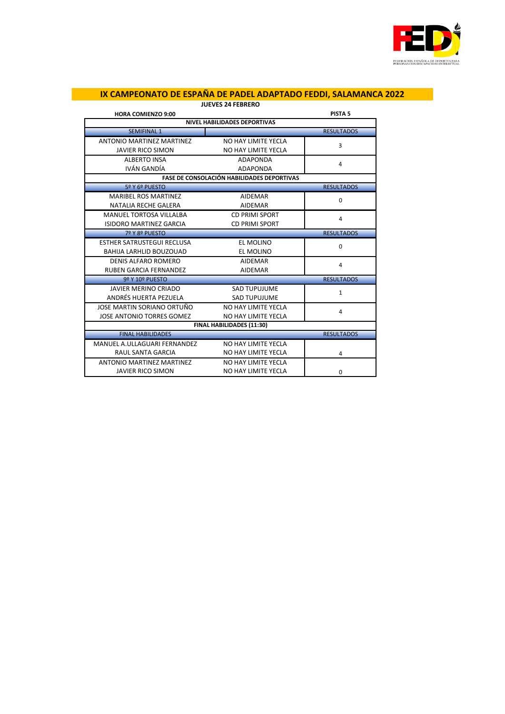

| <b>JUEVES 24 FEBRERO</b>          |                                                   |                    |  |  |
|-----------------------------------|---------------------------------------------------|--------------------|--|--|
| <b>HORA COMIENZO 9:00</b>         |                                                   | PISTA <sub>5</sub> |  |  |
|                                   | <b>NIVEL HABILIDADES DEPORTIVAS</b>               |                    |  |  |
| <b>SEMIFINAL 1</b>                |                                                   | <b>RESULTADOS</b>  |  |  |
| ANTONIO MARTINEZ MARTINEZ         | NO HAY LIMITE YECLA                               | 3                  |  |  |
| <b>JAVIER RICO SIMON</b>          | NO HAY LIMITE YECLA                               |                    |  |  |
| <b>ALBERTO INSA</b>               | ADAPONDA                                          | 4                  |  |  |
| IVÁN GANDÍA                       | ADAPONDA                                          |                    |  |  |
|                                   | <b>FASE DE CONSOLACIÓN HABILIDADES DEPORTIVAS</b> |                    |  |  |
| 5º Y 6º PUESTO                    |                                                   | <b>RESULTADOS</b>  |  |  |
| <b>MARIBEL ROS MARTINEZ</b>       | <b>AIDEMAR</b>                                    | 0                  |  |  |
| NATALIA RECHE GALERA              | <b>AIDEMAR</b>                                    |                    |  |  |
| <b>MANUEL TORTOSA VILLALBA</b>    | <b>CD PRIMI SPORT</b>                             | 4                  |  |  |
| <b>ISIDORO MARTINEZ GARCIA</b>    | <b>CD PRIMI SPORT</b>                             |                    |  |  |
| 7º Y 8º PUESTO                    |                                                   | <b>RESULTADOS</b>  |  |  |
| <b>ESTHER SATRUSTEGUI RECLUSA</b> | EL MOLINO                                         | $\Omega$           |  |  |
| BAHIJA LARHLID BOUZOUAD           | EL MOLINO                                         |                    |  |  |
| <b>DENIS ALFARO ROMERO</b>        | <b>AIDEMAR</b>                                    | 4                  |  |  |
| <b>RUBEN GARCIA FERNANDEZ</b>     | <b>AIDEMAR</b>                                    |                    |  |  |
| 9º Y 10º PUESTO                   |                                                   | <b>RESULTADOS</b>  |  |  |
| <b>JAVIER MERINO CRIADO</b>       | <b>SAD TUPUJUME</b>                               | $\mathbf{1}$       |  |  |
| ANDRÉS HUERTA PEZUELA             | <b>SAD TUPUJUME</b>                               |                    |  |  |
| JOSE MARTIN SORIANO ORTUÑO        | NO HAY LIMITE YECLA                               | 4                  |  |  |
| JOSE ANTONIO TORRES GOMEZ         | NO HAY LIMITE YECLA                               |                    |  |  |
| FINAL HABILIDADES (11:30)         |                                                   |                    |  |  |
| <b>FINAL HABILIDADES</b>          |                                                   | <b>RESULTADOS</b>  |  |  |
| MANUEL A.ULLAGUARI FERNANDEZ      | NO HAY LIMITE YECLA                               |                    |  |  |
| <b>RAUL SANTA GARCIA</b>          | NO HAY LIMITE YECLA                               | 4                  |  |  |
| ANTONIO MARTINEZ MARTINEZ         | NO HAY LIMITE YECLA                               |                    |  |  |
| <b>JAVIER RICO SIMON</b>          | NO HAY LIMITE YECLA                               | $\Omega$           |  |  |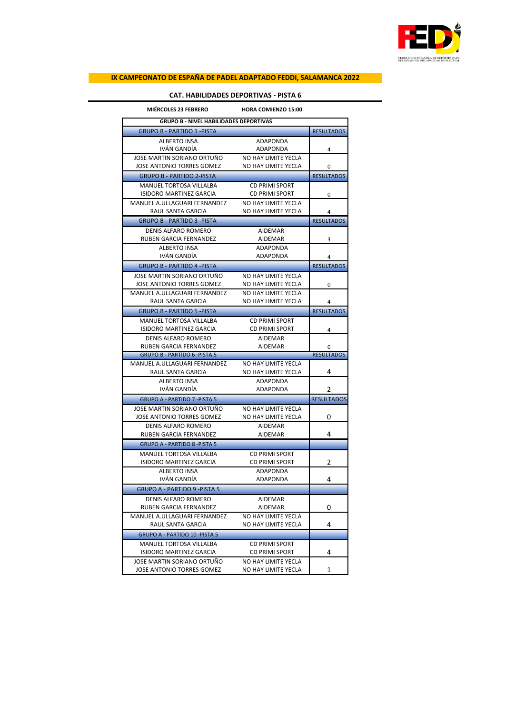

# **CAT. HABILIDADES DEPORTIVAS - PISTA 6**

| <b>MIÉRCOLES 23 FEBRERO</b>                   | <b>HORA COMIENZO 15:00</b> |                   |
|-----------------------------------------------|----------------------------|-------------------|
| <b>GRUPO B - NIVEL HABILIDADES DEPORTIVAS</b> |                            |                   |
| <b>GRUPO B - PARTIDO 1 -PISTA</b>             | <b>RESULTADOS</b>          |                   |
| <b>ALBERTO INSA</b>                           | <b>ADAPONDA</b>            |                   |
| IVÁN GANDÍA                                   | ADAPONDA                   | 4                 |
| JOSE MARTIN SORIANO ORTUÑO                    | NO HAY LIMITE YECLA        |                   |
| JOSE ANTONIO TORRES GOMEZ                     | NO HAY LIMITE YECLA        | 0                 |
| <b>GRUPO B - PARTIDO 2-PISTA</b>              |                            | <b>RESULTADOS</b> |
| MANUEL TORTOSA VILLALBA                       | <b>CD PRIMI SPORT</b>      |                   |
| ISIDORO MARTINEZ GARCIA                       | <b>CD PRIMI SPORT</b>      | 0                 |
| MANUEL A.ULLAGUARI FERNANDEZ                  | NO HAY LIMITE YECLA        |                   |
| RAUL SANTA GARCIA                             | NO HAY LIMITE YECLA        | 4                 |
| <b>GRUPO B - PARTIDO 3 -PISTA</b>             |                            | <b>RESULTADOS</b> |
| <b>DENIS ALFARO ROMERO</b>                    | AIDEMAR                    |                   |
| RUBEN GARCIA FERNANDEZ                        | AIDEMAR                    | 3                 |
| ALBERTO INSA                                  | <b>ADAPONDA</b>            |                   |
| IVÁN GANDÍA                                   | ADAPONDA                   | 4                 |
| <b>GRUPO B - PARTIDO 4 -PISTA</b>             |                            | <b>RESULTADOS</b> |
| JOSE MARTIN SORIANO ORTUÑO                    | NO HAY LIMITE YECLA        |                   |
| JOSE ANTONIO TORRES GOMEZ                     | NO HAY LIMITE YECLA        | 0                 |
| MANUEL A.ULLAGUARI FERNANDEZ                  | NO HAY LIMITE YECLA        |                   |
| RAUL SANTA GARCIA                             | NO HAY LIMITE YECLA        | 4                 |
| <b>GRUPO B - PARTIDO 5 -PISTA</b>             |                            | <b>RESULTADOS</b> |
| <b>MANUEL TORTOSA VILLALBA</b>                | <b>CD PRIMI SPORT</b>      |                   |
| ISIDORO MARTINEZ GARCIA                       | <b>CD PRIMI SPORT</b>      | 4                 |
| DENIS ALFARO ROMERO                           | AIDEMAR                    |                   |
| RUBEN GARCIA FERNANDEZ                        | AIDEMAR                    | 0                 |
| <b>GRUPO B - PARTIDO 6 -PISTA 5</b>           |                            | <b>RESULTADOS</b> |
| MANUEL A.ULLAGUARI FERNANDEZ                  | NO HAY LIMITE YECLA        |                   |
| RAUL SANTA GARCIA                             | NO HAY LIMITE YECLA        | 4                 |
| <b>ALBERTO INSA</b>                           | ADAPONDA                   |                   |
| IVÁN GANDÍA                                   | ADAPONDA                   | 2                 |
| <b>GRUPO A - PARTIDO 7 - PISTA 5</b>          |                            | <b>RESULTADOS</b> |
| JOSE MARTIN SORIANO ORTUÑO                    | NO HAY LIMITE YECLA        |                   |
| JOSE ANTONIO TORRES GOMEZ                     | NO HAY LIMITE YECLA        | 0                 |
| DENIS ALFARO ROMERO                           | <b>AIDEMAR</b>             |                   |
| <b>RUBEN GARCIA FERNANDEZ</b>                 | AIDEMAR                    | 4                 |
| <b>GRUPO A - PARTIDO 8 -PISTA 5</b>           |                            |                   |
| MANUEL TORTOSA VILLALBA                       | <b>CD PRIMI SPORT</b>      |                   |
| ISIDORO MARTINEZ GARCIA                       | CD PRIMI SPORT             | 2                 |
| ALBERTO INSA                                  | ADAPONDA                   |                   |
| IVÁN GANDÍA                                   | <b>ADAPONDA</b>            | 4                 |
| <b>GRUPO A - PARTIDO 9 -PISTA 5</b>           |                            |                   |
| DENIS ALFARO ROMERO                           | AIDEMAR                    |                   |
| RUBEN GARCIA FERNANDEZ                        | AIDEMAR                    | 0                 |
| MANUEL A.ULLAGUARI FERNANDEZ                  | NO HAY LIMITE YECLA        |                   |
| RAUL SANTA GARCIA                             | NO HAY LIMITE YECLA        | 4                 |
| <b>GRUPO A - PARTIDO 10 -PISTA 5</b>          |                            |                   |
| <b>MANUEL TORTOSA VILLALBA</b>                | <b>CD PRIMI SPORT</b>      |                   |
| ISIDORO MARTINEZ GARCIA                       | CD PRIMI SPORT             | 4                 |
| JOSE MARTIN SORIANO ORTUÑO                    | NO HAY LIMITE YECLA        |                   |
| JOSE ANTONIO TORRES GOMEZ                     | NO HAY LIMITE YECLA        | 1                 |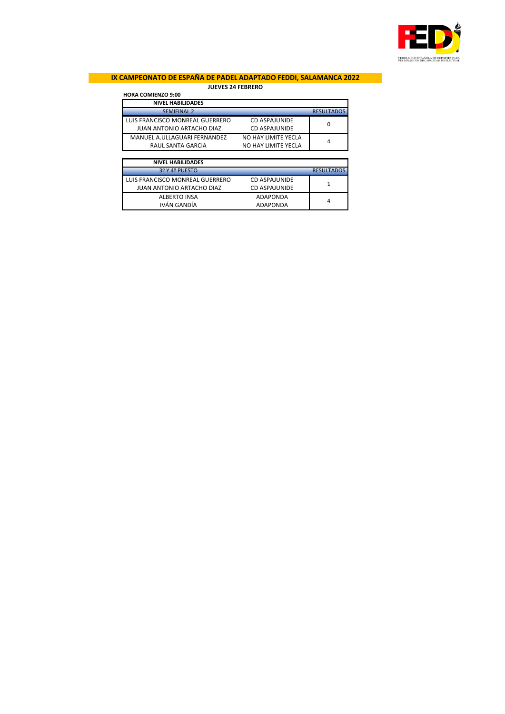

# **IX CAMPEONATO DE ESPAÑA DE PADEL ADAPTADO FEDDI, SALAMANCA 2022 JUEVES 24 FEBRERO**

# **HORA COMIENZO 9:00**

| <b>NIVEL HABILIDADES</b>        |                      |                   |
|---------------------------------|----------------------|-------------------|
| <b>SEMIFINAL 2</b>              |                      | <b>RESULTADOS</b> |
| LUIS FRANCISCO MONREAL GUERRERO | CD ASPAJUNIDE        | 0                 |
| JUAN ANTONIO ARTACHO DIAZ       | <b>CD ASPAJUNIDE</b> |                   |
| MANUEL A.ULLAGUARI FERNANDEZ    | NO HAY LIMITE YECLA  | 4                 |
| RAUL SANTA GARCIA               | NO HAY LIMITE YECLA  |                   |

| <b>NIVEL HABILIDADES</b>        |                      |                   |
|---------------------------------|----------------------|-------------------|
| 3º Y 4º PUESTO                  |                      | <b>RESULTADOS</b> |
| LUIS FRANCISCO MONREAL GUERRERO | CD ASPAJUNIDE        |                   |
| JUAN ANTONIO ARTACHO DIAZ       | <b>CD ASPAJUNIDE</b> |                   |
| <b>ALBERTO INSA</b>             | ADAPONDA             | 4                 |
| IVÁN GANDÍA                     | ADAPONDA             |                   |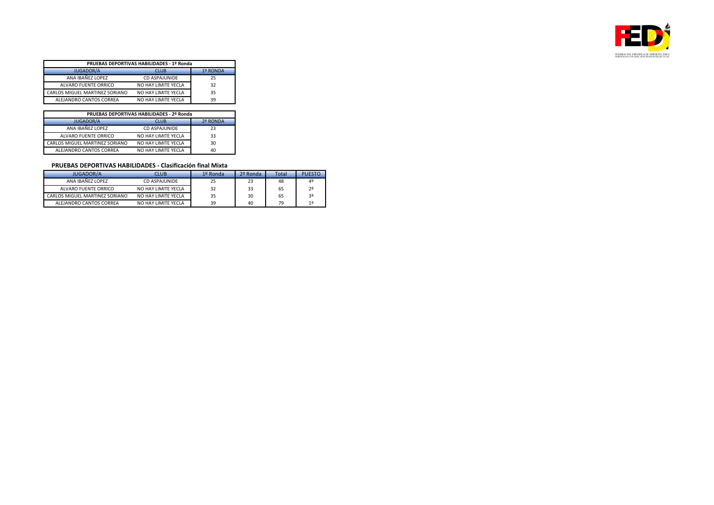

| <b>PRUEBAS DEPORTIVAS HABILIDADES - 1º Ronda</b> |                      |    |  |
|--------------------------------------------------|----------------------|----|--|
| <b>JUGADOR/A</b><br><b>CLUB</b><br>1º RONDA      |                      |    |  |
| ANA IBAÑEZ LOPEZ                                 | <b>CD ASPAJUNIDE</b> | 25 |  |
| ALVARO FUENTE ORRICO                             | NO HAY LIMITE YECLA  | 32 |  |
| CARLOS MIGUEL MARTINEZ SORIANO                   | NO HAY LIMITE YECLA  | 35 |  |
| ALEJANDRO CANTOS CORREA                          | NO HAY LIMITE YECLA  | 39 |  |

| PRUEBAS DEPORTIVAS HABILIDADES - 2º Ronda   |                     |    |
|---------------------------------------------|---------------------|----|
| <b>JUGADOR/A</b><br><b>CLUB</b><br>2º RONDA |                     |    |
| ANA IBAÑEZ LOPEZ                            | CD ASPAJUNIDE       | 23 |
| ALVARO FUENTE ORRICO                        | NO HAY LIMITE YECLA | 33 |
| CARLOS MIGUEL MARTINEZ SORIANO              | NO HAY LIMITE YECLA | 30 |
| ALEJANDRO CANTOS CORREA                     | NO HAY LIMITE YECLA | 40 |

### **PRUEBAS DEPORTIVAS HABILIDADES - Clasificación final Mixta**

| <b>JUGADOR/A</b>               | CLUB                | 1º Ronda | 2º Ronda | Total | <b>PUESTO</b>  |
|--------------------------------|---------------------|----------|----------|-------|----------------|
| ANA IBAÑEZ LOPEZ               | CD ASPAIUNIDE       | 25       | 23       | 48    | 4º             |
| ALVARO FUENTE ORRICO           | NO HAY LIMITE YECLA | 32       | 33       | 65    | 2 <sup>o</sup> |
| CARLOS MIGUEL MARTINEZ SORIANO | NO HAY LIMITE YECLA | 35       | 30       | 65    | 3 <sup>o</sup> |
| ALEJANDRO CANTOS CORREA        | NO HAY LIMITE YECLA | 39       | 40       | 79    | 1 <sup>°</sup> |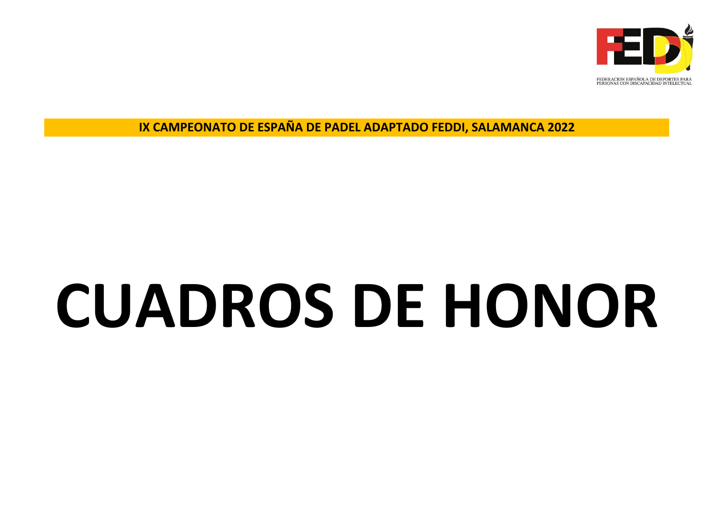

# **CUADROS DE HONOR**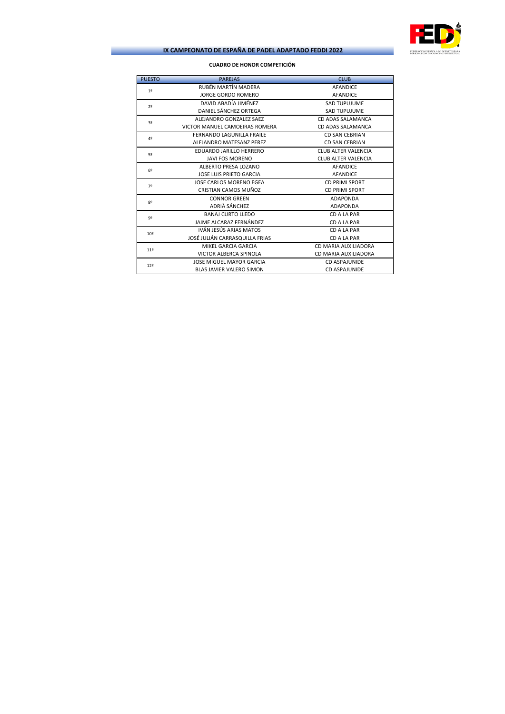

# **CUADRO DE HONOR COMPETICIÓN**

\_

| <b>PUESTO</b>   | <b>PAREJAS</b>                  | <b>CLUB</b>                |
|-----------------|---------------------------------|----------------------------|
| 19              | RUBÉN MARTÍN MADERA             | <b>AFANDICE</b>            |
|                 | <b>JORGE GORDO ROMERO</b>       | <b>AFANDICE</b>            |
| 2 <sup>0</sup>  | DAVID ARADÍA IIMÉNEZ            | <b>SAD TUPUJUME</b>        |
|                 | DANIEL SÁNCHEZ ORTEGA           | <b>SAD TUPUJUME</b>        |
| 32              | ALEJANDRO GONZALEZ SAEZ         | CD ADAS SALAMANCA          |
|                 | VICTOR MANUEL CAMOEIRAS ROMERA  | CD ADAS SALAMANCA          |
| 4º              | FERNANDO LAGUNILLA FRAILE       | <b>CD SAN CEBRIAN</b>      |
|                 | ALEJANDRO MATESANZ PEREZ        | <b>CD SAN CEBRIAN</b>      |
| 52              | EDUARDO JARILLO HERRERO         | <b>CLUB ALTER VALENCIA</b> |
|                 | <b>JAVI FOS MORENO</b>          | <b>CLUB ALTER VALENCIA</b> |
| 69              | ALBERTO PRESA LOZANO            | <b>AFANDICE</b>            |
|                 | <b>JOSE LUIS PRIETO GARCIA</b>  | <b>AFANDICE</b>            |
| 72              | JOSE CARLOS MORENO EGEA         | <b>CD PRIMI SPORT</b>      |
|                 | CRISTIAN CAMOS MUÑOZ            | <b>CD PRIMI SPORT</b>      |
| 82              | <b>CONNOR GREEN</b>             | <b>ADAPONDA</b>            |
|                 | ADRIÀ SÁNCHEZ                   | <b>ADAPONDA</b>            |
| 9 <sup>o</sup>  | <b>BANAJ CURTO LLEDO</b>        | CD A LA PAR                |
|                 | JAIME ALCARAZ FERNÁNDEZ         | CD A LA PAR                |
| 10º             | IVÁN JESÚS ARIAS MATOS          | CD A LA PAR                |
|                 | JOSÉ JULIÁN CARRASQUILLA FRIAS  | CD A LA PAR                |
| 11 <sup>°</sup> | MIKEL GARCIA GARCIA             | CD MARIA AUXILIADORA       |
|                 | <b>VICTOR ALBERCA SPINOLA</b>   | CD MARIA AUXILIADORA       |
| 12º             | <b>JOSE MIGUEL MAYOR GARCIA</b> | <b>CD ASPAJUNIDE</b>       |
|                 | <b>BLAS JAVIER VALERO SIMON</b> | CD ASPAIUNIDE              |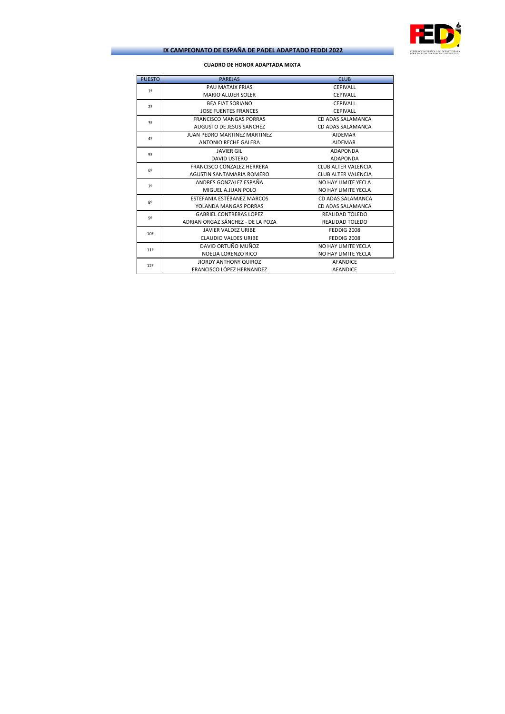

# **CUADRO DE HONOR ADAPTADA MIXTA**

\_

| <b>PUESTO</b> | <b>PAREJAS</b>                      | <b>CLUB</b>                |
|---------------|-------------------------------------|----------------------------|
| 19            | PAU MATAIX FRIAS                    | <b>CEPIVALL</b>            |
|               | <b>MARIO ALUJER SOLER</b>           | <b>CEPIVALL</b>            |
| 72            | <b>BEA FIAT SORIANO</b>             | <b>CEPIVALL</b>            |
|               | <b>JOSE FUENTES FRANCES</b>         | <b>CEPIVALL</b>            |
| 32            | <b>FRANCISCO MANGAS PORRAS</b>      | CD ADAS SALAMANCA          |
|               | AUGUSTO DE JESUS SANCHEZ            | CD ADAS SALAMANCA          |
| 42            | <b>JUAN PEDRO MARTINEZ MARTINEZ</b> | <b>AIDEMAR</b>             |
|               | <b>ANTONIO RECHE GALERA</b>         | <b>AIDEMAR</b>             |
| 52            | <b>JAVIER GIL</b>                   | <b>ADAPONDA</b>            |
|               | <b>DAVID USTERO</b>                 | <b>ADAPONDA</b>            |
| 62            | FRANCISCO CONZALEZ HERRERA          | <b>CLUB ALTER VALENCIA</b> |
|               | AGUSTIN SANTAMARIA ROMERO           | <b>CLUB ALTER VALENCIA</b> |
| 72            | ANDRES GONZALEZ ESPAÑA              | NO HAY LIMITE YECLA        |
|               | MIGUEL A.JUAN POLO                  | NO HAY LIMITE YECLA        |
| 82            | ESTEFANIA ESTÉBANEZ MARCOS          | CD ADAS SALAMANCA          |
|               | YOLANDA MANGAS PORRAS               | CD ADAS SALAMANCA          |
| 92            | <b>GABRIEL CONTRERAS LOPEZ</b>      | REALIDAD TOLEDO            |
|               | ADRIAN ORGAZ SÁNCHEZ - DE LA POZA   | <b>REALIDAD TOLEDO</b>     |
| 10º           | <b>JAVIER VALDEZ URIBE</b>          | FEDDIG 2008                |
|               | <b>CLAUDIO VALDES URIBE</b>         | FEDDIG 2008                |
| 119           | DAVID ORTUÑO MUÑOZ                  | NO HAY LIMITE YECLA        |
|               | NOELIA LORENZO RICO                 | NO HAY LIMITE YECLA        |
| 129           | <b>JIORDY ANTHONY QUIROZ</b>        | <b>AFANDICE</b>            |
|               | FRANCISCO LÓPEZ HERNANDEZ           | <b>AFANDICE</b>            |